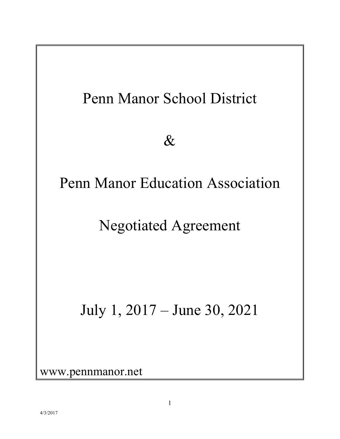

www.pennmanor.net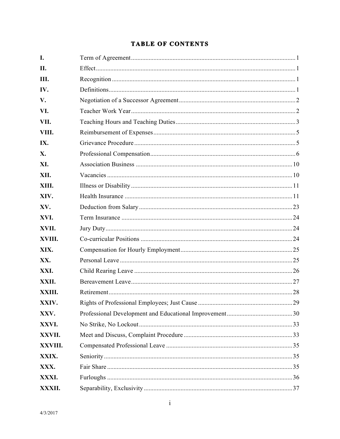### **TABLE OF CONTENTS**

| I.      |  |
|---------|--|
| II.     |  |
| III.    |  |
| IV.     |  |
| V.      |  |
| VI.     |  |
| VII.    |  |
| VIII.   |  |
| IX.     |  |
| X.      |  |
| XI.     |  |
| XII.    |  |
| XIII.   |  |
| XIV.    |  |
| XV.     |  |
| XVI.    |  |
| XVII.   |  |
| XVIII.  |  |
| XIX.    |  |
| XX.     |  |
| XXI.    |  |
| XXII.   |  |
| XXIII.  |  |
| XXIV.   |  |
| XXV.    |  |
| XXVI.   |  |
| XXVII.  |  |
| XXVIII. |  |
| XXIX.   |  |
| XXX.    |  |
| XXXI.   |  |
| XXXII.  |  |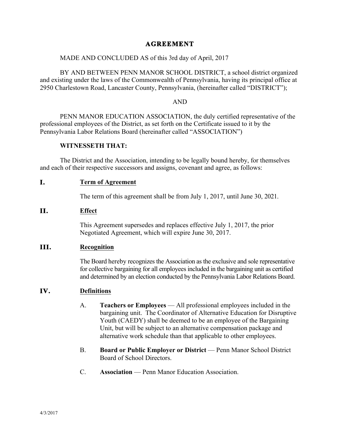#### **AGREEMENT**

#### MADE AND CONCLUDED AS of this 3rd day of April, 2017

BY AND BETWEEN PENN MANOR SCHOOL DISTRICT, a school district organized and existing under the laws of the Commonwealth of Pennsylvania, having its principal office at 2950 Charlestown Road, Lancaster County, Pennsylvania, (hereinafter called "DISTRICT");

#### AND

PENN MANOR EDUCATION ASSOCIATION, the duly certified representative of the professional employees of the District, as set forth on the Certificate issued to it by the Pennsylvania Labor Relations Board (hereinafter called "ASSOCIATION")

#### **WITNESSETH THAT:**

The District and the Association, intending to be legally bound hereby, for themselves and each of their respective successors and assigns, covenant and agree, as follows:

#### **I. Term of Agreement**

The term of this agreement shall be from July 1, 2017, until June 30, 2021.

#### **II. Effect**

This Agreement supersedes and replaces effective July 1, 2017, the prior Negotiated Agreement, which will expire June 30, 2017.

#### **III. Recognition**

The Board hereby recognizes the Association as the exclusive and sole representative for collective bargaining for all employees included in the bargaining unit as certified and determined by an election conducted by the Pennsylvania Labor Relations Board.

#### **IV. Definitions**

- A. **Teachers or Employees** All professional employees included in the bargaining unit. The Coordinator of Alternative Education for Disruptive Youth (CAEDY) shall be deemed to be an employee of the Bargaining Unit, but will be subject to an alternative compensation package and alternative work schedule than that applicable to other employees.
- B. **Board or Public Employer or District** Penn Manor School District Board of School Directors.
- C. **Association** Penn Manor Education Association.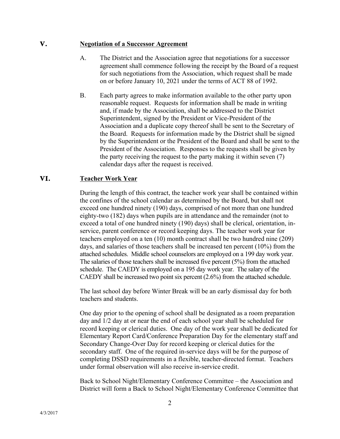#### **V. Negotiation of a Successor Agreement**

- A. The District and the Association agree that negotiations for a successor agreement shall commence following the receipt by the Board of a request for such negotiations from the Association, which request shall be made on or before January 10, 2021 under the terms of ACT 88 of 1992.
- B. Each party agrees to make information available to the other party upon reasonable request. Requests for information shall be made in writing and, if made by the Association, shall be addressed to the District Superintendent, signed by the President or Vice-President of the Association and a duplicate copy thereof shall be sent to the Secretary of the Board. Requests for information made by the District shall be signed by the Superintendent or the President of the Board and shall be sent to the President of the Association. Responses to the requests shall be given by the party receiving the request to the party making it within seven (7) calendar days after the request is received.

#### **VI. Teacher Work Year**

During the length of this contract, the teacher work year shall be contained within the confines of the school calendar as determined by the Board, but shall not exceed one hundred ninety (190) days, comprised of not more than one hundred eighty-two (182) days when pupils are in attendance and the remainder (not to exceed a total of one hundred ninety (190) days) shall be clerical, orientation, inservice, parent conference or record keeping days. The teacher work year for teachers employed on a ten (10) month contract shall be two hundred nine (209) days, and salaries of those teachers shall be increased ten percent (10%) from the attached schedules. Middle school counselors are employed on a 199 day work year. The salaries of those teachers shall be increased five percent (5%) from the attached schedule. The CAEDY is employed on a 195 day work year. The salary of the CAEDY shall be increased two point six percent (2.6%) from the attached schedule.

The last school day before Winter Break will be an early dismissal day for both teachers and students.

One day prior to the opening of school shall be designated as a room preparation day and 1/2 day at or near the end of each school year shall be scheduled for record keeping or clerical duties. One day of the work year shall be dedicated for Elementary Report Card/Conference Preparation Day for the elementary staff and Secondary Change-Over Day for record keeping or clerical duties for the secondary staff. One of the required in-service days will be for the purpose of completing DSSD requirements in a flexible, teacher-directed format. Teachers under formal observation will also receive in-service credit.

Back to School Night/Elementary Conference Committee – the Association and District will form a Back to School Night/Elementary Conference Committee that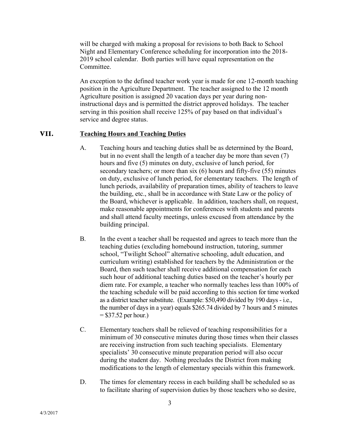will be charged with making a proposal for revisions to both Back to School Night and Elementary Conference scheduling for incorporation into the 2018- 2019 school calendar. Both parties will have equal representation on the Committee.

An exception to the defined teacher work year is made for one 12-month teaching position in the Agriculture Department. The teacher assigned to the 12 month Agriculture position is assigned 20 vacation days per year during noninstructional days and is permitted the district approved holidays. The teacher serving in this position shall receive 125% of pay based on that individual's service and degree status.

#### **VII. Teaching Hours and Teaching Duties**

- A. Teaching hours and teaching duties shall be as determined by the Board, but in no event shall the length of a teacher day be more than seven (7) hours and five (5) minutes on duty, exclusive of lunch period, for secondary teachers; or more than six (6) hours and fifty-five (55) minutes on duty, exclusive of lunch period, for elementary teachers. The length of lunch periods, availability of preparation times, ability of teachers to leave the building, etc., shall be in accordance with State Law or the policy of the Board, whichever is applicable. In addition, teachers shall, on request, make reasonable appointments for conferences with students and parents and shall attend faculty meetings, unless excused from attendance by the building principal.
- B. In the event a teacher shall be requested and agrees to teach more than the teaching duties (excluding homebound instruction, tutoring, summer school, "Twilight School" alternative schooling, adult education, and curriculum writing) established for teachers by the Administration or the Board, then such teacher shall receive additional compensation for each such hour of additional teaching duties based on the teacher's hourly per diem rate. For example, a teacher who normally teaches less than 100% of the teaching schedule will be paid according to this section for time worked as a district teacher substitute. (Example: \$50,490 divided by 190 days - i.e., the number of days in a year) equals \$265.74 divided by 7 hours and 5 minutes  $= $37.52$  per hour.)
- C. Elementary teachers shall be relieved of teaching responsibilities for a minimum of 30 consecutive minutes during those times when their classes are receiving instruction from such teaching specialists. Elementary specialists' 30 consecutive minute preparation period will also occur during the student day. Nothing precludes the District from making modifications to the length of elementary specials within this framework.
- D. The times for elementary recess in each building shall be scheduled so as to facilitate sharing of supervision duties by those teachers who so desire,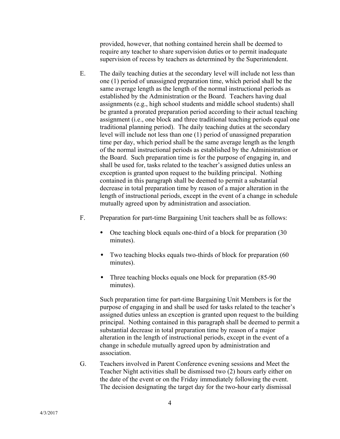provided, however, that nothing contained herein shall be deemed to require any teacher to share supervision duties or to permit inadequate supervision of recess by teachers as determined by the Superintendent.

- E. The daily teaching duties at the secondary level will include not less than one (1) period of unassigned preparation time, which period shall be the same average length as the length of the normal instructional periods as established by the Administration or the Board. Teachers having dual assignments (e.g., high school students and middle school students) shall be granted a prorated preparation period according to their actual teaching assignment (i.e., one block and three traditional teaching periods equal one traditional planning period). The daily teaching duties at the secondary level will include not less than one (1) period of unassigned preparation time per day, which period shall be the same average length as the length of the normal instructional periods as established by the Administration or the Board. Such preparation time is for the purpose of engaging in, and shall be used for, tasks related to the teacher's assigned duties unless an exception is granted upon request to the building principal. Nothing contained in this paragraph shall be deemed to permit a substantial decrease in total preparation time by reason of a major alteration in the length of instructional periods, except in the event of a change in schedule mutually agreed upon by administration and association.
- F. Preparation for part-time Bargaining Unit teachers shall be as follows:
	- One teaching block equals one-third of a block for preparation (30 minutes).
	- Two teaching blocks equals two-thirds of block for preparation (60) minutes).
	- Three teaching blocks equals one block for preparation (85-90) minutes).

Such preparation time for part-time Bargaining Unit Members is for the purpose of engaging in and shall be used for tasks related to the teacher's assigned duties unless an exception is granted upon request to the building principal. Nothing contained in this paragraph shall be deemed to permit a substantial decrease in total preparation time by reason of a major alteration in the length of instructional periods, except in the event of a change in schedule mutually agreed upon by administration and association.

G. Teachers involved in Parent Conference evening sessions and Meet the Teacher Night activities shall be dismissed two (2) hours early either on the date of the event or on the Friday immediately following the event. The decision designating the target day for the two-hour early dismissal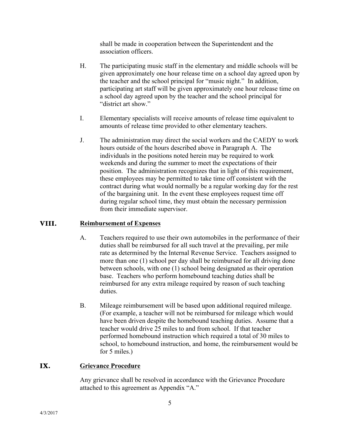shall be made in cooperation between the Superintendent and the association officers.

- H. The participating music staff in the elementary and middle schools will be given approximately one hour release time on a school day agreed upon by the teacher and the school principal for "music night." In addition, participating art staff will be given approximately one hour release time on a school day agreed upon by the teacher and the school principal for "district art show."
- I. Elementary specialists will receive amounts of release time equivalent to amounts of release time provided to other elementary teachers.
- J. The administration may direct the social workers and the CAEDY to work hours outside of the hours described above in Paragraph A. The individuals in the positions noted herein may be required to work weekends and during the summer to meet the expectations of their position. The administration recognizes that in light of this requirement, these employees may be permitted to take time off consistent with the contract during what would normally be a regular working day for the rest of the bargaining unit. In the event these employees request time off during regular school time, they must obtain the necessary permission from their immediate supervisor.

#### **VIII. Reimbursement of Expenses**

- A. Teachers required to use their own automobiles in the performance of their duties shall be reimbursed for all such travel at the prevailing, per mile rate as determined by the Internal Revenue Service. Teachers assigned to more than one (1) school per day shall be reimbursed for all driving done between schools, with one (1) school being designated as their operation base. Teachers who perform homebound teaching duties shall be reimbursed for any extra mileage required by reason of such teaching duties.
- B. Mileage reimbursement will be based upon additional required mileage. (For example, a teacher will not be reimbursed for mileage which would have been driven despite the homebound teaching duties. Assume that a teacher would drive 25 miles to and from school. If that teacher performed homebound instruction which required a total of 30 miles to school, to homebound instruction, and home, the reimbursement would be for 5 miles.)

#### **IX. Grievance Procedure**

Any grievance shall be resolved in accordance with the Grievance Procedure attached to this agreement as Appendix "A."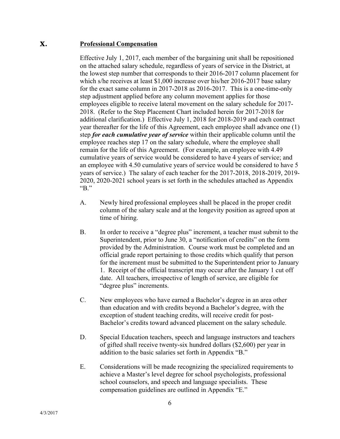### **X. Professional Compensation**

Effective July 1, 2017, each member of the bargaining unit shall be repositioned on the attached salary schedule, regardless of years of service in the District, at the lowest step number that corresponds to their 2016-2017 column placement for which s/he receives at least \$1,000 increase over his/her 2016-2017 base salary for the exact same column in 2017-2018 as 2016-2017. This is a one-time-only step adjustment applied before any column movement applies for those employees eligible to receive lateral movement on the salary schedule for 2017- 2018. (Refer to the Step Placement Chart included herein for 2017-2018 for additional clarification.) Effective July 1, 2018 for 2018-2019 and each contract year thereafter for the life of this Agreement, each employee shall advance one (1) step *for each cumulative year of service* within their applicable column until the employee reaches step 17 on the salary schedule, where the employee shall remain for the life of this Agreement. (For example, an employee with 4.49 cumulative years of service would be considered to have 4 years of service; and an employee with 4.50 cumulative years of service would be considered to have 5 years of service.) The salary of each teacher for the 2017-2018, 2018-2019, 2019- 2020, 2020-2021 school years is set forth in the schedules attached as Appendix "B."

- A. Newly hired professional employees shall be placed in the proper credit column of the salary scale and at the longevity position as agreed upon at time of hiring.
- B. In order to receive a "degree plus" increment, a teacher must submit to the Superintendent, prior to June 30, a "notification of credits" on the form provided by the Administration. Course work must be completed and an official grade report pertaining to those credits which qualify that person for the increment must be submitted to the Superintendent prior to January 1. Receipt of the official transcript may occur after the January 1 cut off date. All teachers, irrespective of length of service, are eligible for "degree plus" increments.
- C. New employees who have earned a Bachelor's degree in an area other than education and with credits beyond a Bachelor's degree, with the exception of student teaching credits, will receive credit for post-Bachelor's credits toward advanced placement on the salary schedule.
- D. Special Education teachers, speech and language instructors and teachers of gifted shall receive twenty-six hundred dollars (\$2,600) per year in addition to the basic salaries set forth in Appendix "B."
- E. Considerations will be made recognizing the specialized requirements to achieve a Master's level degree for school psychologists, professional school counselors, and speech and language specialists. These compensation guidelines are outlined in Appendix "E."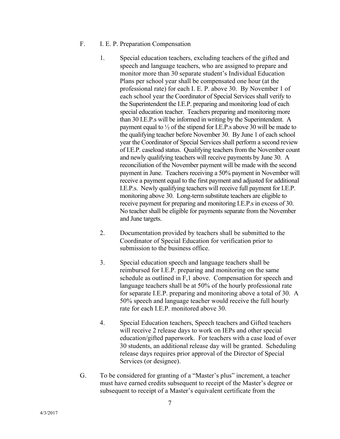#### F. I. E. P. Preparation Compensation

- 1. Special education teachers, excluding teachers of the gifted and speech and language teachers, who are assigned to prepare and monitor more than 30 separate student's Individual Education Plans per school year shall be compensated one hour (at the professional rate) for each I. E. P. above 30. By November 1 of each school year the Coordinator of Special Services shall verify to the Superintendent the I.E.P. preparing and monitoring load of each special education teacher. Teachers preparing and monitoring more than 30 I.E.P.s will be informed in writing by the Superintendent. A payment equal to ½ of the stipend for I.E.P.s above 30 will be made to the qualifying teacher before November 30. By June 1 of each school year the Coordinator of Special Services shall perform a second review of I.E.P. caseload status. Qualifying teachers from the November count and newly qualifying teachers will receive payments by June 30. A reconciliation of the November payment will be made with the second payment in June. Teachers receiving a 50% payment in November will receive a payment equal to the first payment and adjusted for additional I.E.P.s. Newly qualifying teachers will receive full payment for I.E.P. monitoring above 30. Long-term substitute teachers are eligible to receive payment for preparing and monitoring I.E.P.s in excess of 30. No teacher shall be eligible for payments separate from the November and June targets.
- 2. Documentation provided by teachers shall be submitted to the Coordinator of Special Education for verification prior to submission to the business office.
- 3. Special education speech and language teachers shall be reimbursed for I.E.P. preparing and monitoring on the same schedule as outlined in F,1 above. Compensation for speech and language teachers shall be at 50% of the hourly professional rate for separate I.E.P. preparing and monitoring above a total of 30. A 50% speech and language teacher would receive the full hourly rate for each I.E.P. monitored above 30.
- 4. Special Education teachers, Speech teachers and Gifted teachers will receive 2 release days to work on IEPs and other special education/gifted paperwork. For teachers with a case load of over 30 students, an additional release day will be granted. Scheduling release days requires prior approval of the Director of Special Services (or designee).
- G. To be considered for granting of a "Master's plus" increment, a teacher must have earned credits subsequent to receipt of the Master's degree or subsequent to receipt of a Master's equivalent certificate from the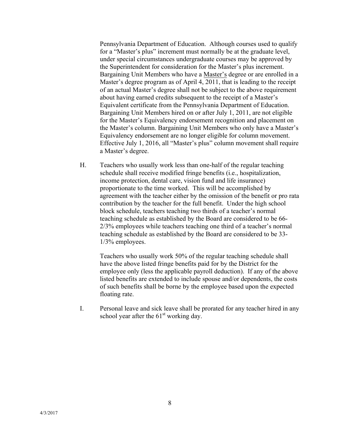Pennsylvania Department of Education. Although courses used to qualify for a "Master's plus" increment must normally be at the graduate level, under special circumstances undergraduate courses may be approved by the Superintendent for consideration for the Master's plus increment. Bargaining Unit Members who have a Master's degree or are enrolled in a Master's degree program as of April 4, 2011, that is leading to the receipt of an actual Master's degree shall not be subject to the above requirement about having earned credits subsequent to the receipt of a Master's Equivalent certificate from the Pennsylvania Department of Education. Bargaining Unit Members hired on or after July 1, 2011, are not eligible for the Master's Equivalency endorsement recognition and placement on the Master's column. Bargaining Unit Members who only have a Master's Equivalency endorsement are no longer eligible for column movement. Effective July 1, 2016, all "Master's plus" column movement shall require a Master's degree.

H. Teachers who usually work less than one-half of the regular teaching schedule shall receive modified fringe benefits (i.e., hospitalization, income protection, dental care, vision fund and life insurance) proportionate to the time worked. This will be accomplished by agreement with the teacher either by the omission of the benefit or pro rata contribution by the teacher for the full benefit. Under the high school block schedule, teachers teaching two thirds of a teacher's normal teaching schedule as established by the Board are considered to be 66- 2/3% employees while teachers teaching one third of a teacher's normal teaching schedule as established by the Board are considered to be 33- 1/3% employees.

Teachers who usually work 50% of the regular teaching schedule shall have the above listed fringe benefits paid for by the District for the employee only (less the applicable payroll deduction). If any of the above listed benefits are extended to include spouse and/or dependents, the costs of such benefits shall be borne by the employee based upon the expected floating rate.

I. Personal leave and sick leave shall be prorated for any teacher hired in any school year after the  $61<sup>st</sup>$  working day.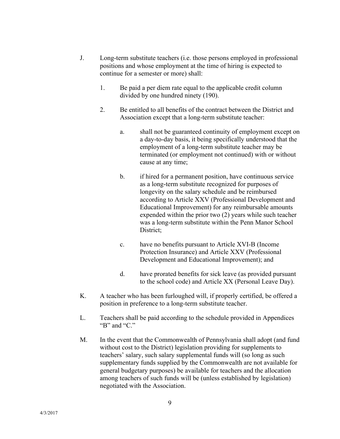- J. Long-term substitute teachers (i.e. those persons employed in professional positions and whose employment at the time of hiring is expected to continue for a semester or more) shall:
	- 1. Be paid a per diem rate equal to the applicable credit column divided by one hundred ninety (190).
	- 2. Be entitled to all benefits of the contract between the District and Association except that a long-term substitute teacher:
		- a. shall not be guaranteed continuity of employment except on a day-to-day basis, it being specifically understood that the employment of a long-term substitute teacher may be terminated (or employment not continued) with or without cause at any time;
		- b. if hired for a permanent position, have continuous service as a long-term substitute recognized for purposes of longevity on the salary schedule and be reimbursed according to Article XXV (Professional Development and Educational Improvement) for any reimbursable amounts expended within the prior two (2) years while such teacher was a long-term substitute within the Penn Manor School District;
		- c. have no benefits pursuant to Article XVI-B (Income Protection Insurance) and Article XXV (Professional Development and Educational Improvement); and
		- d. have prorated benefits for sick leave (as provided pursuant to the school code) and Article XX (Personal Leave Day).
- K. A teacher who has been furloughed will, if properly certified, be offered a position in preference to a long-term substitute teacher.
- L. Teachers shall be paid according to the schedule provided in Appendices "B" and "C."
- M. In the event that the Commonwealth of Pennsylvania shall adopt (and fund without cost to the District) legislation providing for supplements to teachers' salary, such salary supplemental funds will (so long as such supplementary funds supplied by the Commonwealth are not available for general budgetary purposes) be available for teachers and the allocation among teachers of such funds will be (unless established by legislation) negotiated with the Association.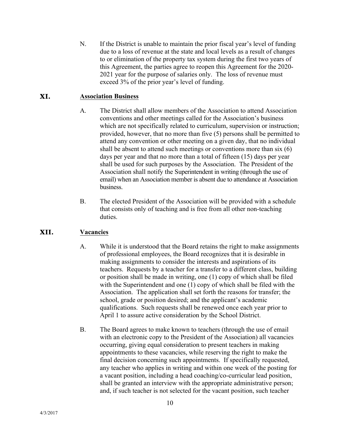N. If the District is unable to maintain the prior fiscal year's level of funding due to a loss of revenue at the state and local levels as a result of changes to or elimination of the property tax system during the first two years of this Agreement, the parties agree to reopen this Agreement for the 2020- 2021 year for the purpose of salaries only. The loss of revenue must exceed 3% of the prior year's level of funding.

#### **XI. Association Business**

- A. The District shall allow members of the Association to attend Association conventions and other meetings called for the Association's business which are not specifically related to curriculum, supervision or instruction; provided, however, that no more than five (5) persons shall be permitted to attend any convention or other meeting on a given day, that no individual shall be absent to attend such meetings or conventions more than six (6) days per year and that no more than a total of fifteen (15) days per year shall be used for such purposes by the Association. The President of the Association shall notify the Superintendent in writing (through the use of email) when an Association member is absent due to attendance at Association business.
- B. The elected President of the Association will be provided with a schedule that consists only of teaching and is free from all other non-teaching duties.

#### **XII. Vacancies**

- A. While it is understood that the Board retains the right to make assignments of professional employees, the Board recognizes that it is desirable in making assignments to consider the interests and aspirations of its teachers. Requests by a teacher for a transfer to a different class, building or position shall be made in writing, one (1) copy of which shall be filed with the Superintendent and one (1) copy of which shall be filed with the Association. The application shall set forth the reasons for transfer; the school, grade or position desired; and the applicant's academic qualifications. Such requests shall be renewed once each year prior to April 1 to assure active consideration by the School District.
- B. The Board agrees to make known to teachers (through the use of email with an electronic copy to the President of the Association) all vacancies occurring, giving equal consideration to present teachers in making appointments to these vacancies, while reserving the right to make the final decision concerning such appointments. If specifically requested, any teacher who applies in writing and within one week of the posting for a vacant position, including a head coaching/co-curricular lead position, shall be granted an interview with the appropriate administrative person; and, if such teacher is not selected for the vacant position, such teacher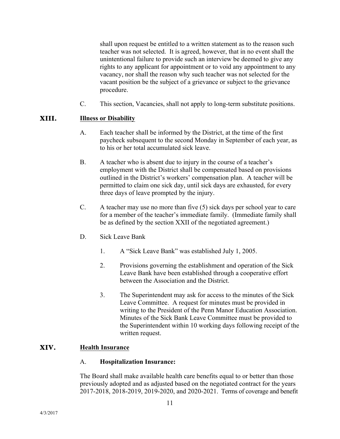shall upon request be entitled to a written statement as to the reason such teacher was not selected. It is agreed, however, that in no event shall the unintentional failure to provide such an interview be deemed to give any rights to any applicant for appointment or to void any appointment to any vacancy, nor shall the reason why such teacher was not selected for the vacant position be the subject of a grievance or subject to the grievance procedure.

C. This section, Vacancies, shall not apply to long-term substitute positions.

#### **XIII. Illness or Disability**

- A. Each teacher shall be informed by the District, at the time of the first paycheck subsequent to the second Monday in September of each year, as to his or her total accumulated sick leave.
- B. A teacher who is absent due to injury in the course of a teacher's employment with the District shall be compensated based on provisions outlined in the District's workers' compensation plan. A teacher will be permitted to claim one sick day, until sick days are exhausted, for every three days of leave prompted by the injury.
- C. A teacher may use no more than five (5) sick days per school year to care for a member of the teacher's immediate family. (Immediate family shall be as defined by the section XXII of the negotiated agreement.)
- D. Sick Leave Bank
	- 1. A "Sick Leave Bank" was established July 1, 2005.
	- 2. Provisions governing the establishment and operation of the Sick Leave Bank have been established through a cooperative effort between the Association and the District.
	- 3. The Superintendent may ask for access to the minutes of the Sick Leave Committee. A request for minutes must be provided in writing to the President of the Penn Manor Education Association. Minutes of the Sick Bank Leave Committee must be provided to the Superintendent within 10 working days following receipt of the written request.

#### **XIV. Health Insurance**

#### A. **Hospitalization Insurance:**

The Board shall make available health care benefits equal to or better than those previously adopted and as adjusted based on the negotiated contract for the years 2017-2018, 2018-2019, 2019-2020, and 2020-2021. Terms of coverage and benefit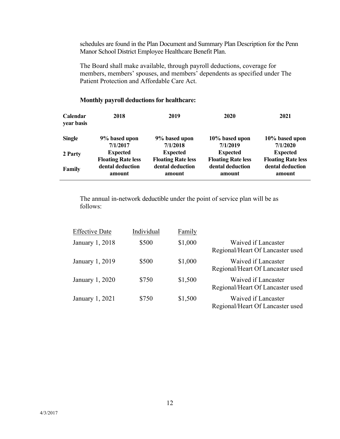schedules are found in the Plan Document and Summary Plan Description for the Penn Manor School District Employee Healthcare Benefit Plan.

The Board shall make available, through payroll deductions, coverage for members, members' spouses, and members' dependents as specified under The Patient Protection and Affordable Care Act.

| <b>Calendar</b><br>year basis | 2018                      | 2019                      | 2020                      | 2021                      |
|-------------------------------|---------------------------|---------------------------|---------------------------|---------------------------|
| <b>Single</b>                 | 9% based upon             | 9% based upon             | 10% based upon            | 10% based upon            |
|                               | 7/1/2017                  | 7/1/2018                  | 7/1/2019                  | 7/1/2020                  |
| 2 Party                       | <b>Expected</b>           | <b>Expected</b>           | <b>Expected</b>           | <b>Expected</b>           |
|                               | <b>Floating Rate less</b> | <b>Floating Rate less</b> | <b>Floating Rate less</b> | <b>Floating Rate less</b> |
| Family                        | dental deduction          | dental deduction          | dental deduction          | dental deduction          |
|                               | amount                    | amount                    | amount                    | amount                    |

### **Monthly payroll deductions for healthcare:**

The annual in-network deductible under the point of service plan will be as follows:

| <b>Effective Date</b> | Individual | Family  |                                                         |
|-----------------------|------------|---------|---------------------------------------------------------|
| January 1, 2018       | \$500      | \$1,000 | Waived if Lancaster<br>Regional/Heart Of Lancaster used |
| January 1, 2019       | \$500      | \$1,000 | Waived if Lancaster<br>Regional/Heart Of Lancaster used |
| January 1, 2020       | \$750      | \$1,500 | Waived if Lancaster<br>Regional/Heart Of Lancaster used |
| January 1, 2021       | \$750      | \$1,500 | Waived if Lancaster<br>Regional/Heart Of Lancaster used |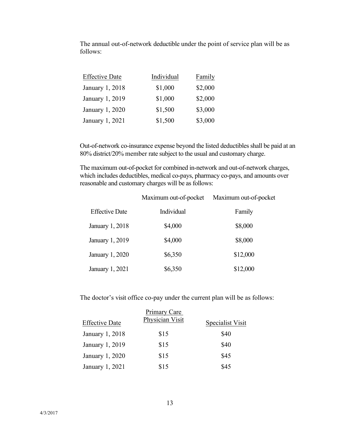The annual out-of-network deductible under the point of service plan will be as follows:

| <b>Effective Date</b> | Individual | Family  |
|-----------------------|------------|---------|
| January 1, 2018       | \$1,000    | \$2,000 |
| January 1, 2019       | \$1,000    | \$2,000 |
| January 1, 2020       | \$1,500    | \$3,000 |
| January 1, 2021       | \$1,500    | \$3,000 |

Out-of-network co-insurance expense beyond the listed deductibles shall be paid at an 80% district/20% member rate subject to the usual and customary charge.

The maximum out-of-pocket for combined in-network and out-of-network charges, which includes deductibles, medical co-pays, pharmacy co-pays, and amounts over reasonable and customary charges will be as follows:

|                       | Maximum out-of-pocket | Maximum out-of-pocket |
|-----------------------|-----------------------|-----------------------|
| <b>Effective Date</b> | Individual            | Family                |
| January 1, 2018       | \$4,000               | \$8,000               |
| January 1, 2019       | \$4,000               | \$8,000               |
| January 1, 2020       | \$6,350               | \$12,000              |
| January 1, 2021       | \$6,350               | \$12,000              |

The doctor's visit office co-pay under the current plan will be as follows:

| <b>Effective Date</b> | Primary Care<br>Physician Visit | Specialist Visit |
|-----------------------|---------------------------------|------------------|
| January 1, 2018       | \$15                            | \$40             |
| January 1, 2019       | \$15                            | \$40             |
| January 1, 2020       | \$15                            | \$45             |
| January 1, 2021       | \$15                            | \$45             |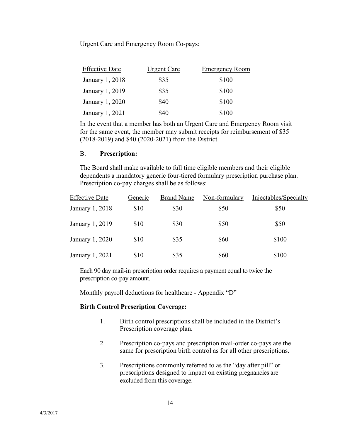Urgent Care and Emergency Room Co-pays:

| <b>Effective Date</b> | <b>Urgent Care</b> | <b>Emergency Room</b> |
|-----------------------|--------------------|-----------------------|
| January 1, 2018       | \$35               | \$100                 |
| January 1, 2019       | \$35               | \$100                 |
| January 1, 2020       | \$40               | \$100                 |
| January 1, 2021       | \$40               | \$100                 |

In the event that a member has both an Urgent Care and Emergency Room visit for the same event, the member may submit receipts for reimbursement of \$35 (2018-2019) and \$40 (2020-2021) from the District.

#### B. **Prescription:**

The Board shall make available to full time eligible members and their eligible dependents a mandatory generic four-tiered formulary prescription purchase plan. Prescription co-pay charges shall be as follows:

| <b>Effective Date</b> | Generic | <b>Brand Name</b> | Non-formulary | Injectables/Specialty |
|-----------------------|---------|-------------------|---------------|-----------------------|
| January 1, 2018       | \$10    | \$30              | \$50          | \$50                  |
| January 1, 2019       | \$10    | \$30              | \$50          | \$50                  |
| January 1, 2020       | \$10    | \$35              | \$60          | \$100                 |
| January 1, 2021       | \$10    | \$35              | \$60          | \$100                 |

Each 90 day mail-in prescription order requires a payment equal to twice the prescription co-pay amount.

Monthly payroll deductions for healthcare - Appendix "D"

#### **Birth Control Prescription Coverage:**

- 1. Birth control prescriptions shall be included in the District's Prescription coverage plan.
- 2. Prescription co-pays and prescription mail-order co-pays are the same for prescription birth control as for all other prescriptions.
- 3. Prescriptions commonly referred to as the "day after pill" or prescriptions designed to impact on existing pregnancies are excluded from this coverage.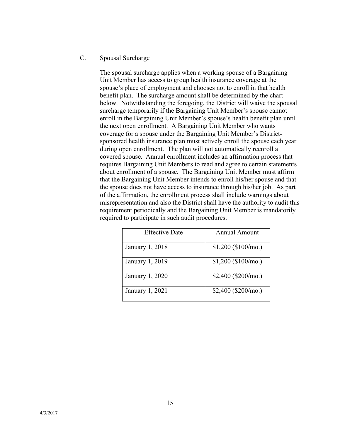C. Spousal Surcharge

The spousal surcharge applies when a working spouse of a Bargaining Unit Member has access to group health insurance coverage at the spouse's place of employment and chooses not to enroll in that health benefit plan. The surcharge amount shall be determined by the chart below. Notwithstanding the foregoing, the District will waive the spousal surcharge temporarily if the Bargaining Unit Member's spouse cannot enroll in the Bargaining Unit Member's spouse's health benefit plan until the next open enrollment. A Bargaining Unit Member who wants coverage for a spouse under the Bargaining Unit Member's Districtsponsored health insurance plan must actively enroll the spouse each year during open enrollment. The plan will not automatically reenroll a covered spouse. Annual enrollment includes an affirmation process that requires Bargaining Unit Members to read and agree to certain statements about enrollment of a spouse. The Bargaining Unit Member must affirm that the Bargaining Unit Member intends to enroll his/her spouse and that the spouse does not have access to insurance through his/her job. As part of the affirmation, the enrollment process shall include warnings about misrepresentation and also the District shall have the authority to audit this requirement periodically and the Bargaining Unit Member is mandatorily required to participate in such audit procedures.

| <b>Effective Date</b> | <b>Annual Amount</b> |
|-----------------------|----------------------|
| January 1, 2018       | $$1,200$ (\$100/mo.) |
| January 1, 2019       | $$1,200$ (\$100/mo.) |
| January 1, 2020       | $$2,400$ (\$200/mo.) |
| January 1, 2021       | $$2,400$ (\$200/mo.) |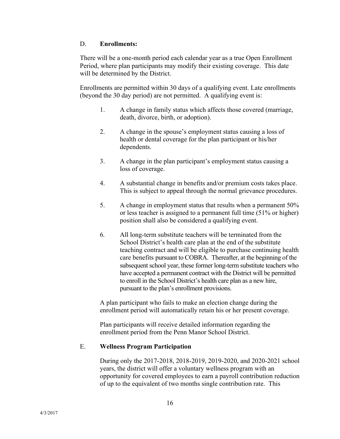#### D. **Enrollments:**

There will be a one-month period each calendar year as a true Open Enrollment Period, where plan participants may modify their existing coverage. This date will be determined by the District.

Enrollments are permitted within 30 days of a qualifying event. Late enrollments (beyond the 30 day period) are not permitted. A qualifying event is:

- 1. A change in family status which affects those covered (marriage, death, divorce, birth, or adoption).
- 2. A change in the spouse's employment status causing a loss of health or dental coverage for the plan participant or his/her dependents.
- 3. A change in the plan participant's employment status causing a loss of coverage.
- 4. A substantial change in benefits and/or premium costs takes place. This is subject to appeal through the normal grievance procedures.
- 5. A change in employment status that results when a permanent 50% or less teacher is assigned to a permanent full time (51% or higher) position shall also be considered a qualifying event.
- 6. All long-term substitute teachers will be terminated from the School District's health care plan at the end of the substitute teaching contract and will be eligible to purchase continuing health care benefits pursuant to COBRA. Thereafter, at the beginning of the subsequent school year, these former long-term substitute teachers who have accepted a permanent contract with the District will be permitted to enroll in the School District's health care plan as a new hire, pursuant to the plan's enrollment provisions.

A plan participant who fails to make an election change during the enrollment period will automatically retain his or her present coverage.

Plan participants will receive detailed information regarding the enrollment period from the Penn Manor School District.

#### E. **Wellness Program Participation**

During only the 2017-2018, 2018-2019, 2019-2020, and 2020-2021 school years, the district will offer a voluntary wellness program with an opportunity for covered employees to earn a payroll contribution reduction of up to the equivalent of two months single contribution rate. This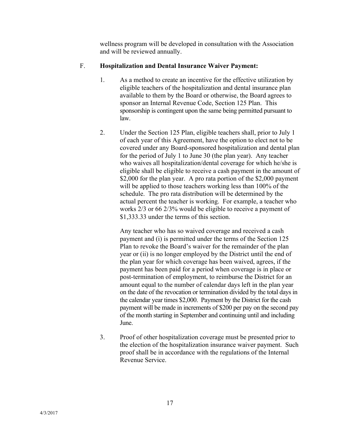wellness program will be developed in consultation with the Association and will be reviewed annually.

### F. **Hospitalization and Dental Insurance Waiver Payment:**

- 1. As a method to create an incentive for the effective utilization by eligible teachers of the hospitalization and dental insurance plan available to them by the Board or otherwise, the Board agrees to sponsor an Internal Revenue Code, Section 125 Plan. This sponsorship is contingent upon the same being permitted pursuant to law.
- 2. Under the Section 125 Plan, eligible teachers shall, prior to July 1 of each year of this Agreement, have the option to elect not to be covered under any Board-sponsored hospitalization and dental plan for the period of July 1 to June 30 (the plan year). Any teacher who waives all hospitalization/dental coverage for which he/she is eligible shall be eligible to receive a cash payment in the amount of \$2,000 for the plan year. A pro rata portion of the \$2,000 payment will be applied to those teachers working less than 100% of the schedule. The pro rata distribution will be determined by the actual percent the teacher is working. For example, a teacher who works 2/3 or 66 2/3% would be eligible to receive a payment of \$1,333.33 under the terms of this section.

Any teacher who has so waived coverage and received a cash payment and (i) is permitted under the terms of the Section 125 Plan to revoke the Board's waiver for the remainder of the plan year or (ii) is no longer employed by the District until the end of the plan year for which coverage has been waived, agrees, if the payment has been paid for a period when coverage is in place or post-termination of employment, to reimburse the District for an amount equal to the number of calendar days left in the plan year on the date of the revocation or termination divided by the total days in the calendar year times \$2,000. Payment by the District for the cash payment will be made in increments of \$200 per pay on the second pay of the month starting in September and continuing until and including June.

3. Proof of other hospitalization coverage must be presented prior to the election of the hospitalization insurance waiver payment. Such proof shall be in accordance with the regulations of the Internal Revenue Service.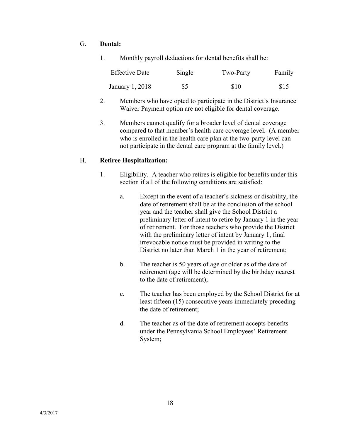### G. **Dental:**

1. Monthly payroll deductions for dental benefits shall be:

| <b>Effective Date</b> | Single | Two-Party | Family |
|-----------------------|--------|-----------|--------|
| January 1, 2018       | \$5    | \$10      | \$15   |

- 2. Members who have opted to participate in the District's Insurance Waiver Payment option are not eligible for dental coverage.
- 3. Members cannot qualify for a broader level of dental coverage compared to that member's health care coverage level. (A member who is enrolled in the health care plan at the two-party level can not participate in the dental care program at the family level.)

#### H. **Retiree Hospitalization:**

- 1. Eligibility. A teacher who retires is eligible for benefits under this section if all of the following conditions are satisfied:
	- a. Except in the event of a teacher's sickness or disability, the date of retirement shall be at the conclusion of the school year and the teacher shall give the School District a preliminary letter of intent to retire by January 1 in the year of retirement. For those teachers who provide the District with the preliminary letter of intent by January 1, final irrevocable notice must be provided in writing to the District no later than March 1 in the year of retirement;
	- b. The teacher is 50 years of age or older as of the date of retirement (age will be determined by the birthday nearest to the date of retirement);
	- c. The teacher has been employed by the School District for at least fifteen (15) consecutive years immediately preceding the date of retirement;
	- d. The teacher as of the date of retirement accepts benefits under the Pennsylvania School Employees' Retirement System;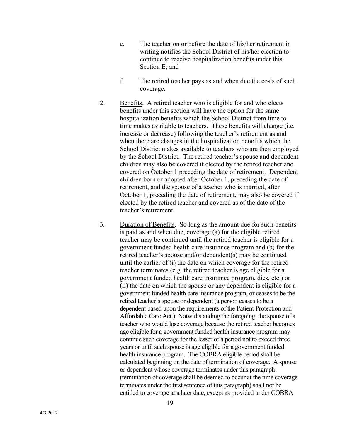- e. The teacher on or before the date of his/her retirement in writing notifies the School District of his/her election to continue to receive hospitalization benefits under this Section E; and
- f. The retired teacher pays as and when due the costs of such coverage.
- 2. Benefits. A retired teacher who is eligible for and who elects benefits under this section will have the option for the same hospitalization benefits which the School District from time to time makes available to teachers. These benefits will change (i.e. increase or decrease) following the teacher's retirement as and when there are changes in the hospitalization benefits which the School District makes available to teachers who are then employed by the School District. The retired teacher's spouse and dependent children may also be covered if elected by the retired teacher and covered on October 1 preceding the date of retirement. Dependent children born or adopted after October 1, preceding the date of retirement, and the spouse of a teacher who is married, after October 1, preceding the date of retirement, may also be covered if elected by the retired teacher and covered as of the date of the teacher's retirement.
- 3. Duration of Benefits. So long as the amount due for such benefits is paid as and when due, coverage (a) for the eligible retired teacher may be continued until the retired teacher is eligible for a government funded health care insurance program and (b) for the retired teacher's spouse and/or dependent(s) may be continued until the earlier of (i) the date on which coverage for the retired teacher terminates (e.g. the retired teacher is age eligible for a government funded health care insurance program, dies, etc.) or (ii) the date on which the spouse or any dependent is eligible for a government funded health care insurance program, or ceases to be the retired teacher's spouse or dependent (a person ceases to be a dependent based upon the requirements of the Patient Protection and Affordable Care Act.) Notwithstanding the foregoing, the spouse of a teacher who would lose coverage because the retired teacher becomes age eligible for a government funded health insurance program may continue such coverage for the lesser of a period not to exceed three years or until such spouse is age eligible for a government funded health insurance program. The COBRA eligible period shall be calculated beginning on the date of termination of coverage. A spouse or dependent whose coverage terminates under this paragraph (termination of coverage shall be deemed to occur at the time coverage terminates under the first sentence of this paragraph) shall not be entitled to coverage at a later date, except as provided under COBRA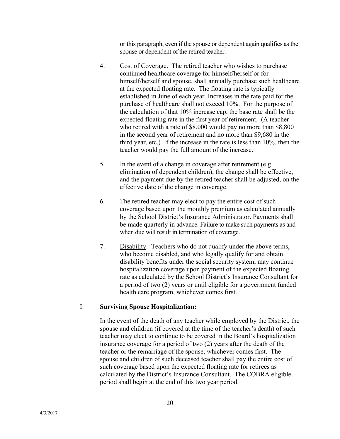or this paragraph, even if the spouse or dependent again qualifies as the spouse or dependent of the retired teacher.

- 4. Cost of Coverage. The retired teacher who wishes to purchase continued healthcare coverage for himself/herself or for himself/herself and spouse, shall annually purchase such healthcare at the expected floating rate. The floating rate is typically established in June of each year. Increases in the rate paid for the purchase of healthcare shall not exceed 10%. For the purpose of the calculation of that 10% increase cap, the base rate shall be the expected floating rate in the first year of retirement. (A teacher who retired with a rate of \$8,000 would pay no more than \$8,800 in the second year of retirement and no more than \$9,680 in the third year, etc.) If the increase in the rate is less than 10%, then the teacher would pay the full amount of the increase.
- 5. In the event of a change in coverage after retirement (e.g. elimination of dependent children), the change shall be effective, and the payment due by the retired teacher shall be adjusted, on the effective date of the change in coverage.
- 6. The retired teacher may elect to pay the entire cost of such coverage based upon the monthly premium as calculated annually by the School District's Insurance Administrator. Payments shall be made quarterly in advance. Failure to make such payments as and when due will result in termination of coverage.
- 7. Disability. Teachers who do not qualify under the above terms, who become disabled, and who legally qualify for and obtain disability benefits under the social security system, may continue hospitalization coverage upon payment of the expected floating rate as calculated by the School District's Insurance Consultant for a period of two (2) years or until eligible for a government funded health care program, whichever comes first.

#### I. **Surviving Spouse Hospitalization:**

In the event of the death of any teacher while employed by the District, the spouse and children (if covered at the time of the teacher's death) of such teacher may elect to continue to be covered in the Board's hospitalization insurance coverage for a period of two (2) years after the death of the teacher or the remarriage of the spouse, whichever comes first. The spouse and children of such deceased teacher shall pay the entire cost of such coverage based upon the expected floating rate for retirees as calculated by the District's Insurance Consultant. The COBRA eligible period shall begin at the end of this two year period.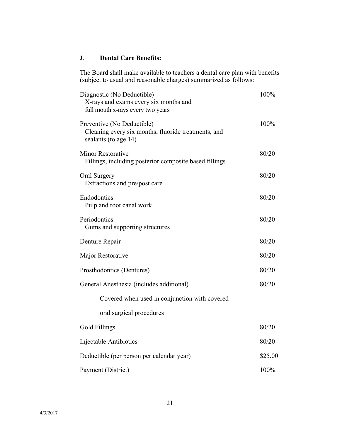### J. **Dental Care Benefits:**

The Board shall make available to teachers a dental care plan with benefits (subject to usual and reasonable charges) summarized as follows:

| Diagnostic (No Deductible)<br>X-rays and exams every six months and<br>full mouth x-rays every two years  | 100%    |
|-----------------------------------------------------------------------------------------------------------|---------|
| Preventive (No Deductible)<br>Cleaning every six months, fluoride treatments, and<br>sealants (to age 14) | 100%    |
| <b>Minor Restorative</b><br>Fillings, including posterior composite based fillings                        | 80/20   |
| Oral Surgery<br>Extractions and pre/post care                                                             | 80/20   |
| Endodontics<br>Pulp and root canal work                                                                   | 80/20   |
| Periodontics<br>Gums and supporting structures                                                            | 80/20   |
| Denture Repair                                                                                            | 80/20   |
| Major Restorative                                                                                         | 80/20   |
| Prosthodontics (Dentures)                                                                                 | 80/20   |
| General Anesthesia (includes additional)                                                                  | 80/20   |
| Covered when used in conjunction with covered                                                             |         |
| oral surgical procedures                                                                                  |         |
| <b>Gold Fillings</b>                                                                                      | 80/20   |
| Injectable Antibiotics                                                                                    | 80/20   |
| Deductible (per person per calendar year)                                                                 | \$25.00 |
| Payment (District)                                                                                        | 100%    |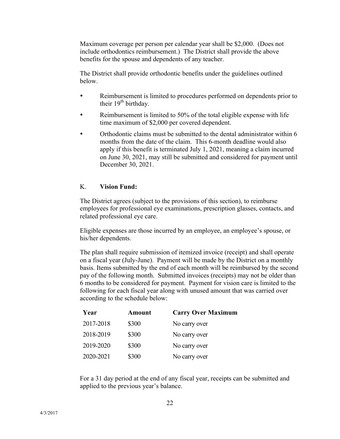Maximum coverage per person per calendar year shall be \$2,000. (Does not include orthodontics reimbursement.) The District shall provide the above benefits for the spouse and dependents of any teacher.

The District shall provide orthodontic benefits under the guidelines outlined below.

- Reimbursement is limited to procedures performed on dependents prior to their  $19<sup>th</sup>$  birthday.
- Reimbursement is limited to 50% of the total eligible expense with life time maximum of \$2,000 per covered dependent.
- Orthodontic claims must be submitted to the dental administrator within 6 months from the date of the claim. This 6-month deadline would also apply if this benefit is terminated July 1, 2021, meaning a claim incurred on June 30, 2021, may still be submitted and considered for payment until December 30, 2021.

#### K. **Vision Fund:**

The District agrees (subject to the provisions of this section), to reimburse employees for professional eye examinations, prescription glasses, contacts, and related professional eye care.

Eligible expenses are those incurred by an employee, an employee's spouse, or his/her dependents.

The plan shall require submission of itemized invoice (receipt) and shall operate on a fiscal year (July-June). Payment will be made by the District on a monthly basis. Items submitted by the end of each month will be reimbursed by the second pay of the following month. Submitted invoices (receipts) may not be older than 6 months to be considered for payment. Payment for vision care is limited to the following for each fiscal year along with unused amount that was carried over according to the schedule below:

| Year      | Amount | <b>Carry Over Maximum</b> |
|-----------|--------|---------------------------|
| 2017-2018 | \$300  | No carry over             |
| 2018-2019 | \$300  | No carry over             |
| 2019-2020 | \$300  | No carry over             |
| 2020-2021 | \$300  | No carry over             |

For a 31 day period at the end of any fiscal year, receipts can be submitted and applied to the previous year's balance.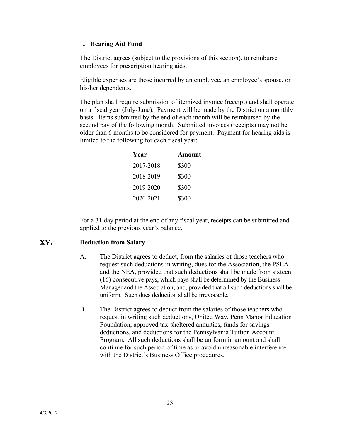#### L. **Hearing Aid Fund**

The District agrees (subject to the provisions of this section), to reimburse employees for prescription hearing aids.

Eligible expenses are those incurred by an employee, an employee's spouse, or his/her dependents.

The plan shall require submission of itemized invoice (receipt) and shall operate on a fiscal year (July-June). Payment will be made by the District on a monthly basis. Items submitted by the end of each month will be reimbursed by the second pay of the following month. Submitted invoices (receipts) may not be older than 6 months to be considered for payment. Payment for hearing aids is limited to the following for each fiscal year:

| Year      | <b>Amount</b> |
|-----------|---------------|
| 2017-2018 | \$300         |
| 2018-2019 | \$300         |
| 2019-2020 | \$300         |
| 2020-2021 | \$300         |

For a 31 day period at the end of any fiscal year, receipts can be submitted and applied to the previous year's balance.

#### **XV. Deduction from Salary**

- A. The District agrees to deduct, from the salaries of those teachers who request such deductions in writing, dues for the Association, the PSEA and the NEA, provided that such deductions shall be made from sixteen (16) consecutive pays, which pays shall be determined by the Business Manager and the Association; and, provided that all such deductions shall be uniform. Such dues deduction shall be irrevocable.
- B. The District agrees to deduct from the salaries of those teachers who request in writing such deductions, United Way, Penn Manor Education Foundation, approved tax-sheltered annuities, funds for savings deductions, and deductions for the Pennsylvania Tuition Account Program. All such deductions shall be uniform in amount and shall continue for such period of time as to avoid unreasonable interference with the District's Business Office procedures.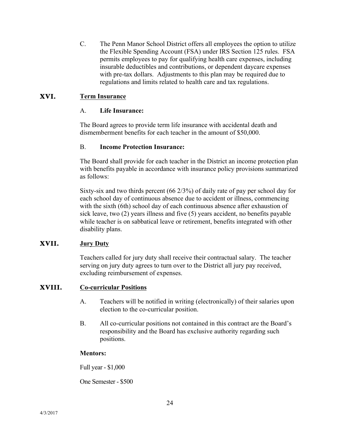C. The Penn Manor School District offers all employees the option to utilize the Flexible Spending Account (FSA) under IRS Section 125 rules. FSA permits employees to pay for qualifying health care expenses, including insurable deductibles and contributions, or dependent daycare expenses with pre-tax dollars. Adjustments to this plan may be required due to regulations and limits related to health care and tax regulations.

#### **XVI. Term Insurance**

#### A. **Life Insurance:**

The Board agrees to provide term life insurance with accidental death and dismemberment benefits for each teacher in the amount of \$50,000.

#### B. **Income Protection Insurance:**

The Board shall provide for each teacher in the District an income protection plan with benefits payable in accordance with insurance policy provisions summarized as follows:

Sixty-six and two thirds percent (66 2/3%) of daily rate of pay per school day for each school day of continuous absence due to accident or illness, commencing with the sixth (6th) school day of each continuous absence after exhaustion of sick leave, two (2) years illness and five (5) years accident, no benefits payable while teacher is on sabbatical leave or retirement, benefits integrated with other disability plans.

#### **XVII. Jury Duty**

Teachers called for jury duty shall receive their contractual salary. The teacher serving on jury duty agrees to turn over to the District all jury pay received, excluding reimbursement of expenses.

#### **XVIII. Co-curricular Positions**

- A. Teachers will be notified in writing (electronically) of their salaries upon election to the co-curricular position.
- B. All co-curricular positions not contained in this contract are the Board's responsibility and the Board has exclusive authority regarding such positions.

#### **Mentors:**

Full year - \$1,000

One Semester - \$500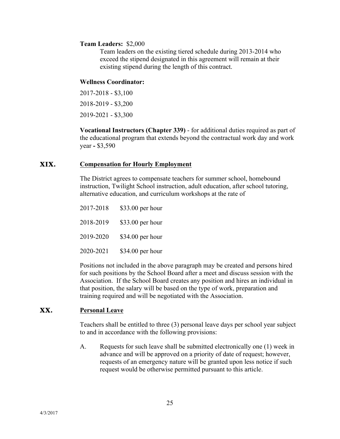#### **Team Leaders:** \$2,000

Team leaders on the existing tiered schedule during 2013-2014 who exceed the stipend designated in this agreement will remain at their existing stipend during the length of this contract.

#### **Wellness Coordinator:**

2017-2018 - \$3,100 2018-2019 - \$3,200 2019-2021 - \$3,300

**Vocational Instructors (Chapter 339)** - for additional duties required as part of the educational program that extends beyond the contractual work day and work year **-** \$3,590

#### **XIX. Compensation for Hourly Employment**

The District agrees to compensate teachers for summer school, homebound instruction, Twilight School instruction, adult education, after school tutoring, alternative education, and curriculum workshops at the rate of

| 2017-2018 | \$33.00 per hour |
|-----------|------------------|
| 2018-2019 | \$33.00 per hour |
| 2019-2020 | \$34.00 per hour |
| 2020-2021 | \$34.00 per hour |

Positions not included in the above paragraph may be created and persons hired for such positions by the School Board after a meet and discuss session with the Association. If the School Board creates any position and hires an individual in that position, the salary will be based on the type of work, preparation and training required and will be negotiated with the Association.

#### **XX. Personal Leave**

Teachers shall be entitled to three (3) personal leave days per school year subject to and in accordance with the following provisions:

A. Requests for such leave shall be submitted electronically one (1) week in advance and will be approved on a priority of date of request; however, requests of an emergency nature will be granted upon less notice if such request would be otherwise permitted pursuant to this article.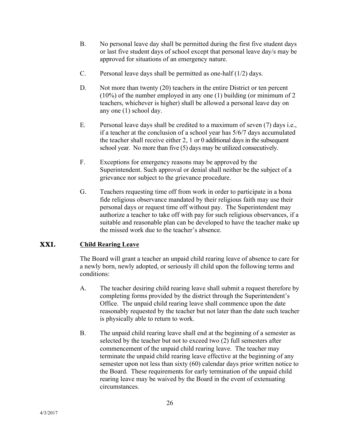- B. No personal leave day shall be permitted during the first five student days or last five student days of school except that personal leave day/s may be approved for situations of an emergency nature.
- C. Personal leave days shall be permitted as one-half  $(1/2)$  days.
- D. Not more than twenty (20) teachers in the entire District or ten percent (10%) of the number employed in any one (1) building (or minimum of 2 teachers, whichever is higher) shall be allowed a personal leave day on any one (1) school day.
- E. Personal leave days shall be credited to a maximum of seven (7) days i.e., if a teacher at the conclusion of a school year has 5/6/7 days accumulated the teacher shall receive either 2, 1 or 0 additional days in the subsequent school year. No more than five (5) days may be utilized consecutively.
- F. Exceptions for emergency reasons may be approved by the Superintendent. Such approval or denial shall neither be the subject of a grievance nor subject to the grievance procedure.
- G. Teachers requesting time off from work in order to participate in a bona fide religious observance mandated by their religious faith may use their personal days or request time off without pay. The Superintendent may authorize a teacher to take off with pay for such religious observances, if a suitable and reasonable plan can be developed to have the teacher make up the missed work due to the teacher's absence.

#### **XXI. Child Rearing Leave**

The Board will grant a teacher an unpaid child rearing leave of absence to care for a newly born, newly adopted, or seriously ill child upon the following terms and conditions:

- A. The teacher desiring child rearing leave shall submit a request therefore by completing forms provided by the district through the Superintendent's Office. The unpaid child rearing leave shall commence upon the date reasonably requested by the teacher but not later than the date such teacher is physically able to return to work.
- B. The unpaid child rearing leave shall end at the beginning of a semester as selected by the teacher but not to exceed two (2) full semesters after commencement of the unpaid child rearing leave. The teacher may terminate the unpaid child rearing leave effective at the beginning of any semester upon not less than sixty (60) calendar days prior written notice to the Board. These requirements for early termination of the unpaid child rearing leave may be waived by the Board in the event of extenuating circumstances.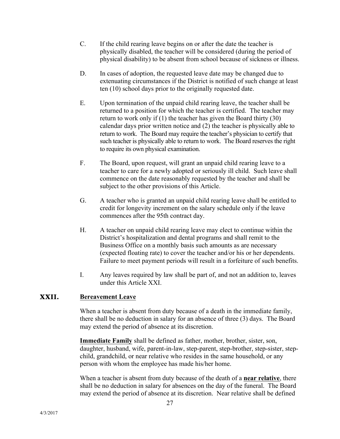- C. If the child rearing leave begins on or after the date the teacher is physically disabled, the teacher will be considered (during the period of physical disability) to be absent from school because of sickness or illness.
- D. In cases of adoption, the requested leave date may be changed due to extenuating circumstances if the District is notified of such change at least ten (10) school days prior to the originally requested date.
- E. Upon termination of the unpaid child rearing leave, the teacher shall be returned to a position for which the teacher is certified. The teacher may return to work only if (1) the teacher has given the Board thirty (30) calendar days prior written notice and (2) the teacher is physically able to return to work. The Board may require the teacher's physician to certify that such teacher is physically able to return to work. The Board reserves the right to require its own physical examination.
- F. The Board, upon request, will grant an unpaid child rearing leave to a teacher to care for a newly adopted or seriously ill child. Such leave shall commence on the date reasonably requested by the teacher and shall be subject to the other provisions of this Article.
- G. A teacher who is granted an unpaid child rearing leave shall be entitled to credit for longevity increment on the salary schedule only if the leave commences after the 95th contract day.
- H. A teacher on unpaid child rearing leave may elect to continue within the District's hospitalization and dental programs and shall remit to the Business Office on a monthly basis such amounts as are necessary (expected floating rate) to cover the teacher and/or his or her dependents. Failure to meet payment periods will result in a forfeiture of such benefits.
- I. Any leaves required by law shall be part of, and not an addition to, leaves under this Article XXI.

#### **XXII. Bereavement Leave**

When a teacher is absent from duty because of a death in the immediate family, there shall be no deduction in salary for an absence of three (3) days. The Board may extend the period of absence at its discretion.

**Immediate Family** shall be defined as father, mother, brother, sister, son, daughter, husband, wife, parent-in-law, step-parent, step-brother, step-sister, stepchild, grandchild, or near relative who resides in the same household, or any person with whom the employee has made his/her home.

When a teacher is absent from duty because of the death of a **near relative**, there shall be no deduction in salary for absences on the day of the funeral. The Board may extend the period of absence at its discretion. Near relative shall be defined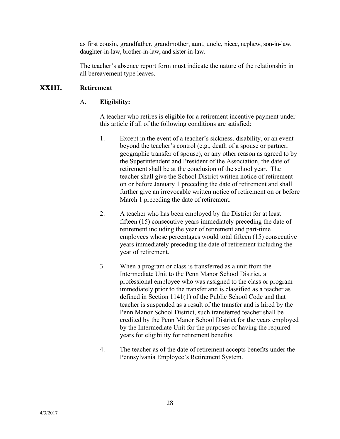as first cousin, grandfather, grandmother, aunt, uncle, niece, nephew, son-in-law, daughter-in-law, brother-in-law, and sister-in-law.

The teacher's absence report form must indicate the nature of the relationship in all bereavement type leaves.

### **XXIII. Retirement**

### A. **Eligibility:**

A teacher who retires is eligible for a retirement incentive payment under this article if all of the following conditions are satisfied:

- 1. Except in the event of a teacher's sickness, disability, or an event beyond the teacher's control (e.g., death of a spouse or partner, geographic transfer of spouse), or any other reason as agreed to by the Superintendent and President of the Association, the date of retirement shall be at the conclusion of the school year. The teacher shall give the School District written notice of retirement on or before January 1 preceding the date of retirement and shall further give an irrevocable written notice of retirement on or before March 1 preceding the date of retirement.
- 2. A teacher who has been employed by the District for at least fifteen (15) consecutive years immediately preceding the date of retirement including the year of retirement and part-time employees whose percentages would total fifteen (15) consecutive years immediately preceding the date of retirement including the year of retirement.
- 3. When a program or class is transferred as a unit from the Intermediate Unit to the Penn Manor School District, a professional employee who was assigned to the class or program immediately prior to the transfer and is classified as a teacher as defined in Section 1141(1) of the Public School Code and that teacher is suspended as a result of the transfer and is hired by the Penn Manor School District, such transferred teacher shall be credited by the Penn Manor School District for the years employed by the Intermediate Unit for the purposes of having the required years for eligibility for retirement benefits.
- 4. The teacher as of the date of retirement accepts benefits under the Pennsylvania Employee's Retirement System.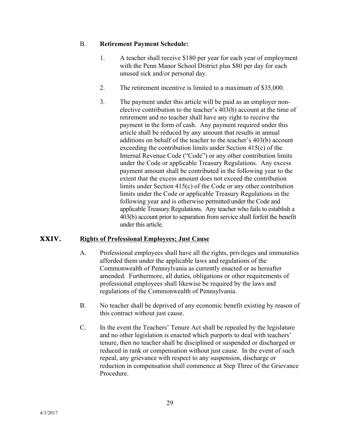#### B. **Retirement Payment Schedule:**

- 1. A teacher shall receive \$180 per year for each year of employment with the Penn Manor School District plus \$80 per day for each unused sick and/or personal day.
- 2. The retirement incentive is limited to a maximum of \$35,000.
- 3. The payment under this article will be paid as an employer nonelective contribution to the teacher's 403(b) account at the time of retirement and no teacher shall have any right to receive the payment in the form of cash. Any payment required under this article shall be reduced by any amount that results in annual additions on behalf of the teacher to the teacher's 403(b) account exceeding the contribution limits under Section 415(c) of the Internal Revenue Code ("Code") or any other contribution limits under the Code or applicable Treasury Regulations. Any excess payment amount shall be contributed in the following year to the extent that the excess amount does not exceed the contribution limits under Section 415(c) of the Code or any other contribution limits under the Code or applicable Treasury Regulations in the following year and is otherwise permitted under the Code and applicable Treasury Regulations. Any teacher who fails to establish a 403(b) account prior to separation from service shall forfeit the benefit under this article.

#### **XXIV. Rights of Professional Employees; Just Cause**

- A. Professional employees shall have all the rights, privileges and immunities afforded them under the applicable laws and regulations of the Commonwealth of Pennsylvania as currently enacted or as hereafter amended. Furthermore, all duties, obligations or other requirements of professional employees shall likewise be required by the laws and regulations of the Commonwealth of Pennsylvania.
- B. No teacher shall be deprived of any economic benefit existing by reason of this contract without just cause.
- C. In the event the Teachers' Tenure Act shall be repealed by the legislature and no other legislation is enacted which purports to deal with teachers' tenure, then no teacher shall be disciplined or suspended or discharged or reduced in rank or compensation without just cause. In the event of such repeal, any grievance with respect to any suspension, discharge or reduction in compensation shall commence at Step Three of the Grievance Procedure.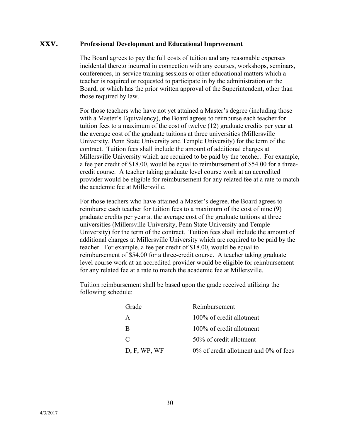#### **XXV. Professional Development and Educational Improvement**

The Board agrees to pay the full costs of tuition and any reasonable expenses incidental thereto incurred in connection with any courses, workshops, seminars, conferences, in-service training sessions or other educational matters which a teacher is required or requested to participate in by the administration or the Board, or which has the prior written approval of the Superintendent, other than those required by law.

For those teachers who have not yet attained a Master's degree (including those with a Master's Equivalency), the Board agrees to reimburse each teacher for tuition fees to a maximum of the cost of twelve (12) graduate credits per year at the average cost of the graduate tuitions at three universities (Millersville University, Penn State University and Temple University) for the term of the contract. Tuition fees shall include the amount of additional charges at Millersville University which are required to be paid by the teacher. For example, a fee per credit of \$18.00, would be equal to reimbursement of \$54.00 for a threecredit course. A teacher taking graduate level course work at an accredited provider would be eligible for reimbursement for any related fee at a rate to match the academic fee at Millersville.

For those teachers who have attained a Master's degree, the Board agrees to reimburse each teacher for tuition fees to a maximum of the cost of nine (9) graduate credits per year at the average cost of the graduate tuitions at three universities (Millersville University, Penn State University and Temple University) for the term of the contract. Tuition fees shall include the amount of additional charges at Millersville University which are required to be paid by the teacher. For example, a fee per credit of \$18.00, would be equal to reimbursement of \$54.00 for a three-credit course. A teacher taking graduate level course work at an accredited provider would be eligible for reimbursement for any related fee at a rate to match the academic fee at Millersville.

Tuition reimbursement shall be based upon the grade received utilizing the following schedule:

| Grade        | Reimbursement                               |
|--------------|---------------------------------------------|
| A            | 100% of credit allotment                    |
| B            | 100% of credit allotment                    |
| $\Gamma$     | 50% of credit allotment                     |
| D, F, WP, WF | $0\%$ of credit allotment and $0\%$ of fees |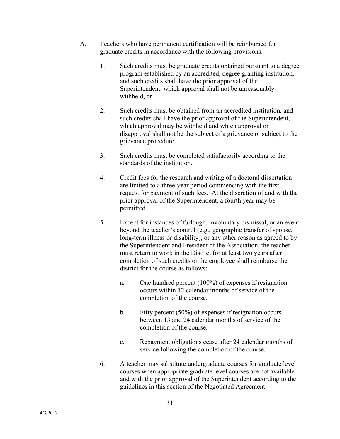- A. Teachers who have permanent certification will be reimbursed for graduate credits in accordance with the following provisions:
	- 1. Such credits must be graduate credits obtained pursuant to a degree program established by an accredited, degree granting institution, and such credits shall have the prior approval of the Superintendent, which approval shall not be unreasonably withheld, or
	- 2. Such credits must be obtained from an accredited institution, and such credits shall have the prior approval of the Superintendent, which approval may be withheld and which approval or disapproval shall not be the subject of a grievance or subject to the grievance procedure.
	- 3. Such credits must be completed satisfactorily according to the standards of the institution.
	- 4. Credit fees for the research and writing of a doctoral dissertation are limited to a three-year period commencing with the first request for payment of such fees. At the discretion of and with the prior approval of the Superintendent, a fourth year may be permitted.
	- 5. Except for instances of furlough, involuntary dismissal, or an event beyond the teacher's control (e.g., geographic transfer of spouse, long-term illness or disability), or any other reason as agreed to by the Superintendent and President of the Association, the teacher must return to work in the District for at least two years after completion of such credits or the employee shall reimburse the district for the course as follows:
		- a. One hundred percent (100%) of expenses if resignation occurs within 12 calendar months of service of the completion of the course.
		- b. Fifty percent (50%) of expenses if resignation occurs between 13 and 24 calendar months of service of the completion of the course.
		- c. Repayment obligations cease after 24 calendar months of service following the completion of the course.
	- 6. A teacher may substitute undergraduate courses for graduate level courses when appropriate graduate level courses are not available and with the prior approval of the Superintendent according to the guidelines in this section of the Negotiated Agreement.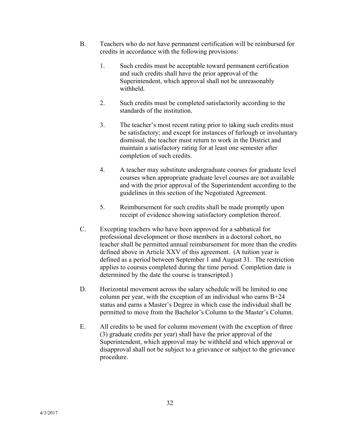- B. Teachers who do not have permanent certification will be reimbursed for credits in accordance with the following provisions:
	- 1. Such credits must be acceptable toward permanent certification and such credits shall have the prior approval of the Superintendent, which approval shall not be unreasonably withheld.
	- 2. Such credits must be completed satisfactorily according to the standards of the institution.
	- 3. The teacher's most recent rating prior to taking such credits must be satisfactory; and except for instances of furlough or involuntary dismissal, the teacher must return to work in the District and maintain a satisfactory rating for at least one semester after completion of such credits.
	- 4. A teacher may substitute undergraduate courses for graduate level courses when appropriate graduate level courses are not available and with the prior approval of the Superintendent according to the guidelines in this section of the Negotiated Agreement.
	- 5. Reimbursement for such credits shall be made promptly upon receipt of evidence showing satisfactory completion thereof.
- C. Excepting teachers who have been approved for a sabbatical for professional development or those members in a doctoral cohort, no teacher shall be permitted annual reimbursement for more than the credits defined above in Article XXV of this agreement. (A tuition year is defined as a period between September 1 and August 31. The restriction applies to courses completed during the time period. Completion date is determined by the date the course is transcripted.)
- D. Horizontal movement across the salary schedule will be limited to one column per year, with the exception of an individual who earns  $B+24$ status and earns a Master's Degree in which case the individual shall be permitted to move from the Bachelor's Column to the Master's Column.
- E. All credits to be used for column movement (with the exception of three (3) graduate credits per year) shall have the prior approval of the Superintendent, which approval may be withheld and which approval or disapproval shall not be subject to a grievance or subject to the grievance procedure.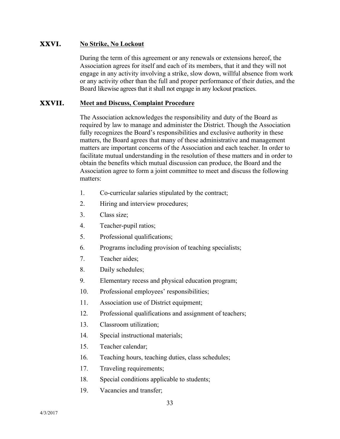#### **XXVI. No Strike, No Lockout**

During the term of this agreement or any renewals or extensions hereof, the Association agrees for itself and each of its members, that it and they will not engage in any activity involving a strike, slow down, willful absence from work or any activity other than the full and proper performance of their duties, and the Board likewise agrees that it shall not engage in any lockout practices.

#### **XXVII. Meet and Discuss, Complaint Procedure**

The Association acknowledges the responsibility and duty of the Board as required by law to manage and administer the District. Though the Association fully recognizes the Board's responsibilities and exclusive authority in these matters, the Board agrees that many of these administrative and management matters are important concerns of the Association and each teacher. In order to facilitate mutual understanding in the resolution of these matters and in order to obtain the benefits which mutual discussion can produce, the Board and the Association agree to form a joint committee to meet and discuss the following matters:

- 1. Co-curricular salaries stipulated by the contract;
- 2. Hiring and interview procedures;
- 3. Class size;
- 4. Teacher-pupil ratios;
- 5. Professional qualifications;
- 6. Programs including provision of teaching specialists;
- 7. Teacher aides;
- 8. Daily schedules;
- 9. Elementary recess and physical education program;
- 10. Professional employees' responsibilities;
- 11. Association use of District equipment;
- 12. Professional qualifications and assignment of teachers;
- 13. Classroom utilization;
- 14. Special instructional materials;
- 15. Teacher calendar;
- 16. Teaching hours, teaching duties, class schedules;
- 17. Traveling requirements;
- 18. Special conditions applicable to students;
- 19. Vacancies and transfer;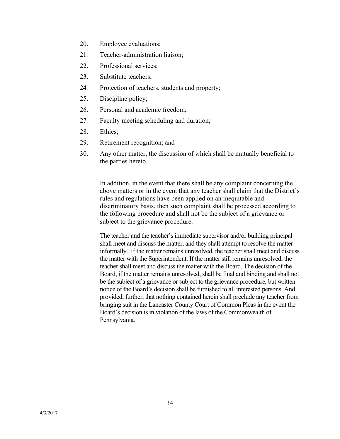- 20. Employee evaluations;
- 21. Teacher-administration liaison;
- 22. Professional services;
- 23. Substitute teachers;
- 24. Protection of teachers, students and property;
- 25. Discipline policy;
- 26. Personal and academic freedom;
- 27. Faculty meeting scheduling and duration;
- 28. Ethics;
- 29. Retirement recognition; and
- 30. Any other matter, the discussion of which shall be mutually beneficial to the parties hereto.

In addition, in the event that there shall be any complaint concerning the above matters or in the event that any teacher shall claim that the District's rules and regulations have been applied on an inequitable and discriminatory basis, then such complaint shall be processed according to the following procedure and shall not be the subject of a grievance or subject to the grievance procedure.

The teacher and the teacher's immediate supervisor and/or building principal shall meet and discuss the matter, and they shall attempt to resolve the matter informally. If the matter remains unresolved, the teacher shall meet and discuss the matter with the Superintendent. If the matter still remains unresolved, the teacher shall meet and discuss the matter with the Board. The decision of the Board, if the matter remains unresolved, shall be final and binding and shall not be the subject of a grievance or subject to the grievance procedure, but written notice of the Board's decision shall be furnished to all interested persons. And provided, further, that nothing contained herein shall preclude any teacher from bringing suit in the Lancaster County Court of Common Pleas in the event the Board's decision is in violation of the laws of the Commonwealth of Pennsylvania.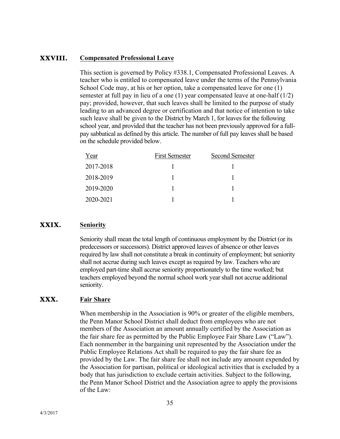#### **XXVIII. Compensated Professional Leave**

This section is governed by Policy #338.1, Compensated Professional Leaves. A teacher who is entitled to compensated leave under the terms of the Pennsylvania School Code may, at his or her option, take a compensated leave for one (1) semester at full pay in lieu of a one  $(1)$  year compensated leave at one-half  $(1/2)$ pay; provided, however, that such leaves shall be limited to the purpose of study leading to an advanced degree or certification and that notice of intention to take such leave shall be given to the District by March 1, for leaves for the following school year, and provided that the teacher has not been previously approved for a fullpay sabbatical as defined by this article. The number of full pay leaves shall be based on the schedule provided below.

| Year      | <b>First Semester</b> | <b>Second Semester</b> |
|-----------|-----------------------|------------------------|
| 2017-2018 |                       |                        |
| 2018-2019 |                       |                        |
| 2019-2020 |                       |                        |
| 2020-2021 |                       |                        |

#### **XXIX. Seniority**

Seniority shall mean the total length of continuous employment by the District (or its predecessors or successors). District approved leaves of absence or other leaves required by law shall not constitute a break in continuity of employment; but seniority shall not accrue during such leaves except as required by law. Teachers who are employed part-time shall accrue seniority proportionately to the time worked; but teachers employed beyond the normal school work year shall not accrue additional seniority.

#### **XXX. Fair Share**

When membership in the Association is 90% or greater of the eligible members, the Penn Manor School District shall deduct from employees who are not members of the Association an amount annually certified by the Association as the fair share fee as permitted by the Public Employee Fair Share Law ("Law"). Each nonmember in the bargaining unit represented by the Association under the Public Employee Relations Act shall be required to pay the fair share fee as provided by the Law. The fair share fee shall not include any amount expended by the Association for partisan, political or ideological activities that is excluded by a body that has jurisdiction to exclude certain activities. Subject to the following, the Penn Manor School District and the Association agree to apply the provisions of the Law: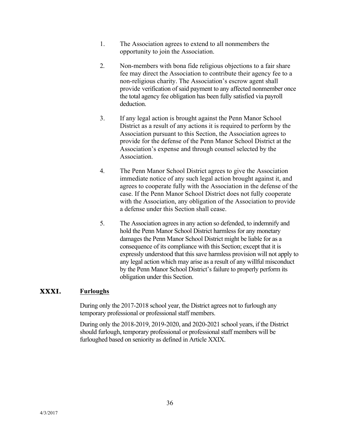- 1. The Association agrees to extend to all nonmembers the opportunity to join the Association.
- 2. Non-members with bona fide religious objections to a fair share fee may direct the Association to contribute their agency fee to a non-religious charity. The Association's escrow agent shall provide verification of said payment to any affected nonmember once the total agency fee obligation has been fully satisfied via payroll deduction.
- 3. If any legal action is brought against the Penn Manor School District as a result of any actions it is required to perform by the Association pursuant to this Section, the Association agrees to provide for the defense of the Penn Manor School District at the Association's expense and through counsel selected by the **Association**
- 4. The Penn Manor School District agrees to give the Association immediate notice of any such legal action brought against it, and agrees to cooperate fully with the Association in the defense of the case. If the Penn Manor School District does not fully cooperate with the Association, any obligation of the Association to provide a defense under this Section shall cease.
- 5. The Association agrees in any action so defended, to indemnify and hold the Penn Manor School District harmless for any monetary damages the Penn Manor School District might be liable for as a consequence of its compliance with this Section; except that it is expressly understood that this save harmless provision will not apply to any legal action which may arise as a result of any willful misconduct by the Penn Manor School District's failure to properly perform its obligation under this Section.

#### **XXXI. Furloughs**

During only the 2017-2018 school year, the District agrees not to furlough any temporary professional or professional staff members.

During only the 2018-2019, 2019-2020, and 2020-2021 school years, if the District should furlough, temporary professional or professional staff members will be furloughed based on seniority as defined in Article XXIX.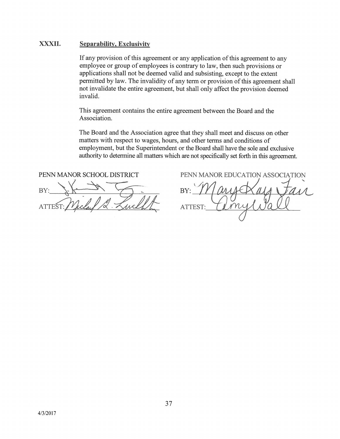#### XXXII. **Separability, Exclusivity**

If any provision of this agreement or any application of this agreement to any employee or group of employees is contrary to law, then such provisions or applications shall not be deemed valid and subsisting, except to the extent permitted by law. The invalidity of any term or provision of this agreement shall not invalidate the entire agreement, but shall only affect the provision deemed invalid.

This agreement contains the entire agreement between the Board and the Association.

The Board and the Association agree that they shall meet and discuss on other matters with respect to wages, hours, and other terms and conditions of employment, but the Superintendent or the Board shall have the sole and exclusive authority to determine all matters which are not specifically set forth in this agreement.

PENN MANOR SCHOOL DISTRICT BY:

PENN MANOR EDUCATION ASSOCIATION BY: ATTEST: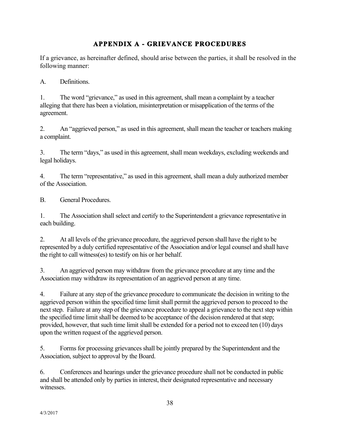### **APPENDIX A - GRIEVANCE PROCEDURES**

If a grievance, as hereinafter defined, should arise between the parties, it shall be resolved in the following manner:

A. Definitions.

1. The word "grievance," as used in this agreement, shall mean a complaint by a teacher alleging that there has been a violation, misinterpretation or misapplication of the terms of the agreement.

2. An "aggrieved person," as used in this agreement, shall mean the teacher or teachers making a complaint.

3. The term "days," as used in this agreement, shall mean weekdays, excluding weekends and legal holidays.

4. The term "representative," as used in this agreement, shall mean a duly authorized member of the Association.

B. General Procedures.

1. The Association shall select and certify to the Superintendent a grievance representative in each building.

2. At all levels of the grievance procedure, the aggrieved person shall have the right to be represented by a duly certified representative of the Association and/or legal counsel and shall have the right to call witness(es) to testify on his or her behalf.

3. An aggrieved person may withdraw from the grievance procedure at any time and the Association may withdraw its representation of an aggrieved person at any time.

4. Failure at any step of the grievance procedure to communicate the decision in writing to the aggrieved person within the specified time limit shall permit the aggrieved person to proceed to the next step. Failure at any step of the grievance procedure to appeal a grievance to the next step within the specified time limit shall be deemed to be acceptance of the decision rendered at that step; provided, however, that such time limit shall be extended for a period not to exceed ten (10) days upon the written request of the aggrieved person.

5. Forms for processing grievances shall be jointly prepared by the Superintendent and the Association, subject to approval by the Board.

6. Conferences and hearings under the grievance procedure shall not be conducted in public and shall be attended only by parties in interest, their designated representative and necessary witnesses.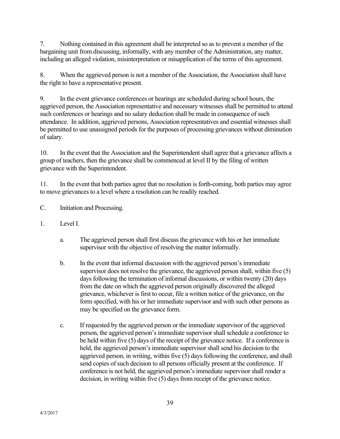7. Nothing contained in this agreement shall be interpreted so as to prevent a member of the bargaining unit from discussing, informally, with any member of the Administration, any matter, including an alleged violation, misinterpretation or misapplication of the terms of this agreement.

8. When the aggrieved person is not a member of the Association, the Association shall have the right to have a representative present.

9. In the event grievance conferences or hearings are scheduled during school hours, the aggrieved person, the Association representative and necessary witnesses shall be permitted to attend such conferences or hearings and no salary deduction shall be made in consequence of such attendance. In addition, aggrieved persons, Association representatives and essential witnesses shall be permitted to use unassigned periods for the purposes of processing grievances without diminution of salary.

10. In the event that the Association and the Superintendent shall agree that a grievance affects a group of teachers, then the grievance shall be commenced at level II by the filing of written grievance with the Superintendent.

11. In the event that both parties agree that no resolution is forth-coming, both parties may agree to move grievances to a level where a resolution can be readily reached.

- C. Initiation and Processing.
- 1. Level I.
	- a. The aggrieved person shall first discuss the grievance with his or her immediate supervisor with the objective of resolving the matter informally.
	- b. In the event that informal discussion with the aggrieved person's immediate supervisor does not resolve the grievance, the aggrieved person shall, within five (5) days following the termination of informal discussions, or within twenty (20) days from the date on which the aggrieved person originally discovered the alleged grievance, whichever is first to occur, file a written notice of the grievance, on the form specified, with his or her immediate supervisor and with such other persons as may be specified on the grievance form.
	- c. If requested by the aggrieved person or the immediate supervisor of the aggrieved person, the aggrieved person's immediate supervisor shall schedule a conference to be held within five (5) days of the receipt of the grievance notice. If a conference is held, the aggrieved person's immediate supervisor shall send his decision to the aggrieved person, in writing, within five (5) days following the conference, and shall send copies of such decision to all persons officially present at the conference. If conference is not held, the aggrieved person's immediate supervisor shall render a decision, in writing within five (5) days from receipt of the grievance notice.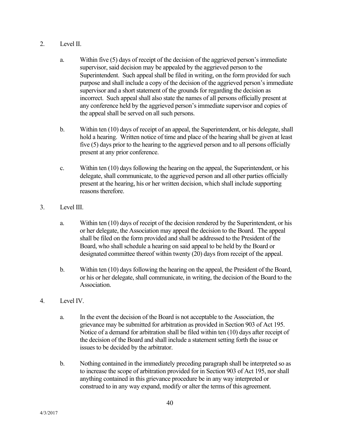- 2. Level II.
	- a. Within five (5) days of receipt of the decision of the aggrieved person's immediate supervisor, said decision may be appealed by the aggrieved person to the Superintendent. Such appeal shall be filed in writing, on the form provided for such purpose and shall include a copy of the decision of the aggrieved person's immediate supervisor and a short statement of the grounds for regarding the decision as incorrect. Such appeal shall also state the names of all persons officially present at any conference held by the aggrieved person's immediate supervisor and copies of the appeal shall be served on all such persons.
	- b. Within ten (10) days of receipt of an appeal, the Superintendent, or his delegate, shall hold a hearing. Written notice of time and place of the hearing shall be given at least five (5) days prior to the hearing to the aggrieved person and to all persons officially present at any prior conference.
	- c. Within ten (10) days following the hearing on the appeal, the Superintendent, or his delegate, shall communicate, to the aggrieved person and all other parties officially present at the hearing, his or her written decision, which shall include supporting reasons therefore.
- 3. Level III.
	- a. Within ten (10) days of receipt of the decision rendered by the Superintendent, or his or her delegate, the Association may appeal the decision to the Board. The appeal shall be filed on the form provided and shall be addressed to the President of the Board, who shall schedule a hearing on said appeal to be held by the Board or designated committee thereof within twenty (20) days from receipt of the appeal.
	- b. Within ten (10) days following the hearing on the appeal, the President of the Board, or his or her delegate, shall communicate, in writing, the decision of the Board to the Association.
- 4. Level IV.
	- a. In the event the decision of the Board is not acceptable to the Association, the grievance may be submitted for arbitration as provided in Section 903 of Act 195. Notice of a demand for arbitration shall be filed within ten (10) days after receipt of the decision of the Board and shall include a statement setting forth the issue or issues to be decided by the arbitrator.
	- b. Nothing contained in the immediately preceding paragraph shall be interpreted so as to increase the scope of arbitration provided for in Section 903 of Act 195, nor shall anything contained in this grievance procedure be in any way interpreted or construed to in any way expand, modify or alter the terms of this agreement.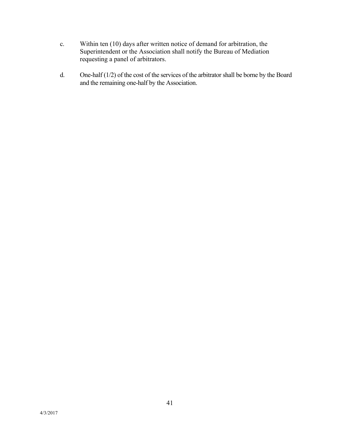- c. Within ten (10) days after written notice of demand for arbitration, the Superintendent or the Association shall notify the Bureau of Mediation requesting a panel of arbitrators.
- d. One-half (1/2) of the cost of the services of the arbitrator shall be borne by the Board and the remaining one-half by the Association.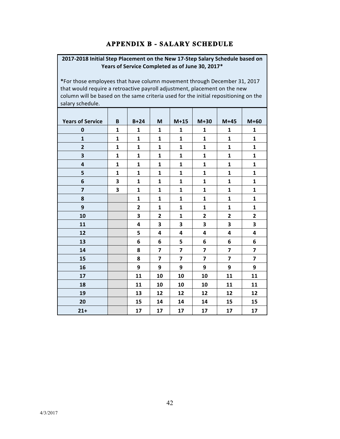### **APPENDIX B - SALARY SCHEDULE**

#### 2017-2018 Initial Step Placement on the New 17-Step Salary Schedule based on Years of Service Completed as of June 30, 2017\*

\*For those employees that have column movement through December 31, 2017 that would require a retroactive payroll adjustment, placement on the new column will be based on the same criteria used for the initial repositioning on the salary schedule.

| <b>Years of Service</b> | B            | $B+24$         | M                       | $M+15$                  | $M+30$                  | $M+45$                  | $M+60$                  |
|-------------------------|--------------|----------------|-------------------------|-------------------------|-------------------------|-------------------------|-------------------------|
| $\mathbf 0$             | $\mathbf{1}$ | 1              | 1                       | 1                       | 1                       | 1                       | $\mathbf{1}$            |
| $\mathbf{1}$            | $\mathbf{1}$ | 1              | $\mathbf{1}$            | 1                       | $\mathbf{1}$            | 1                       | $\mathbf{1}$            |
| $\overline{2}$          | $\mathbf{1}$ | $\mathbf{1}$   | $\mathbf{1}$            | 1                       | $\mathbf{1}$            | 1                       | $\mathbf{1}$            |
| 3                       | $\mathbf{1}$ | $\mathbf{1}$   | $\mathbf{1}$            | 1                       | $\mathbf{1}$            | 1                       | $\mathbf{1}$            |
| 4                       | 1            | $\mathbf{1}$   | 1                       | 1                       | 1                       | 1                       | $\mathbf{1}$            |
| 5                       | $\mathbf{1}$ | 1              | $\mathbf{1}$            | 1                       | 1                       | 1                       | $\mathbf{1}$            |
| 6                       | 3            | $\mathbf{1}$   | $\mathbf{1}$            | 1                       | 1                       | 1                       | 1                       |
| $\overline{7}$          | 3            | $\mathbf{1}$   | $\mathbf{1}$            | 1                       | $\mathbf{1}$            | $\mathbf{1}$            | $\mathbf{1}$            |
| 8                       |              | 1              | $\mathbf{1}$            | 1                       | $\mathbf{1}$            | $\mathbf{1}$            | $\mathbf{1}$            |
| 9                       |              | $\overline{2}$ | $\mathbf{1}$            | 1                       | $\mathbf{1}$            | 1                       | $\mathbf{1}$            |
| 10                      |              | 3              | $\overline{2}$          | 1                       | $\mathbf{2}$            | 2                       | $\mathbf{2}$            |
| 11                      |              | 4              | 3                       | 3                       | 3                       | 3                       | 3                       |
| 12                      |              | 5              | 4                       | 4                       | 4                       | 4                       | 4                       |
| 13                      |              | 6              | 6                       | 5                       | 6                       | 6                       | 6                       |
| 14                      |              | 8              | $\overline{\mathbf{z}}$ | $\overline{\mathbf{z}}$ | $\overline{\mathbf{z}}$ | 7                       | $\overline{\mathbf{z}}$ |
| 15                      |              | 8              | $\overline{\mathbf{z}}$ | $\overline{\mathbf{z}}$ | 7                       | $\overline{\mathbf{z}}$ | $\overline{\mathbf{z}}$ |
| 16                      |              | 9              | 9                       | 9                       | 9                       | 9                       | 9                       |
| 17                      |              | 11             | 10                      | 10                      | 10                      | 11                      | 11                      |
| 18                      |              | 11             | 10                      | 10                      | 10                      | 11                      | 11                      |
| 19                      |              | 13             | 12                      | 12                      | 12                      | 12                      | 12                      |
| 20                      |              | 15             | 14                      | 14                      | 14                      | 15                      | 15                      |
| $21 +$                  |              | 17             | 17                      | 17                      | 17                      | 17                      | 17                      |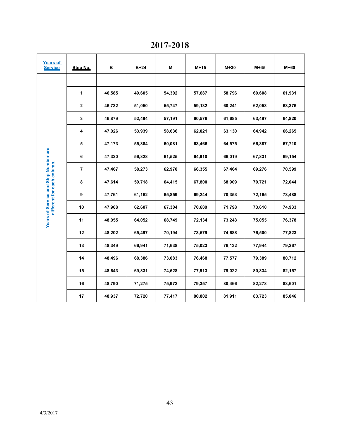# **2017-2018**

| <b>Years of</b><br><b>Service</b>    | Step No.       | в      | $B+24$ | Μ      | M+15   | $M+30$ | $M+45$ | M+60   |
|--------------------------------------|----------------|--------|--------|--------|--------|--------|--------|--------|
|                                      |                |        |        |        |        |        |        |        |
|                                      | 1              | 46,585 | 49,605 | 54,302 | 57,687 | 58,796 | 60,608 | 61,931 |
|                                      | $\mathbf{2}$   | 46,732 | 51,050 | 55,747 | 59,132 | 60,241 | 62,053 | 63,376 |
|                                      | 3              | 46,879 | 52,494 | 57,191 | 60,576 | 61,685 | 63,497 | 64,820 |
|                                      | 4              | 47,026 | 53,939 | 58,636 | 62,021 | 63,130 | 64,942 | 66,265 |
|                                      | 5              | 47,173 | 55,384 | 60,081 | 63,466 | 64,575 | 66,387 | 67,710 |
| Years of Service and Step Number are | 6              | 47,320 | 56,828 | 61,525 | 64,910 | 66,019 | 67,831 | 69,154 |
| different for each column.           | $\overline{7}$ | 47,467 | 58,273 | 62,970 | 66,355 | 67,464 | 69,276 | 70,599 |
|                                      | 8              | 47,614 | 59,718 | 64,415 | 67,800 | 68,909 | 70,721 | 72,044 |
|                                      | 9              | 47,761 | 61,162 | 65,859 | 69,244 | 70,353 | 72,165 | 73,488 |
|                                      | 10             | 47,908 | 62,607 | 67,304 | 70,689 | 71,798 | 73,610 | 74,933 |
|                                      | 11             | 48,055 | 64,052 | 68,749 | 72,134 | 73,243 | 75,055 | 76,378 |
|                                      | 12             | 48,202 | 65,497 | 70,194 | 73,579 | 74,688 | 76,500 | 77,823 |
|                                      | 13             | 48,349 | 66,941 | 71,638 | 75,023 | 76,132 | 77,944 | 79,267 |
|                                      | 14             | 48,496 | 68,386 | 73,083 | 76,468 | 77,577 | 79,389 | 80,712 |
|                                      | 15             | 48,643 | 69,831 | 74,528 | 77,913 | 79,022 | 80,834 | 82,157 |
|                                      | 16             | 48,790 | 71,275 | 75,972 | 79,357 | 80,466 | 82,278 | 83,601 |
|                                      | 17             | 48,937 | 72,720 | 77,417 | 80,802 | 81,911 | 83,723 | 85,046 |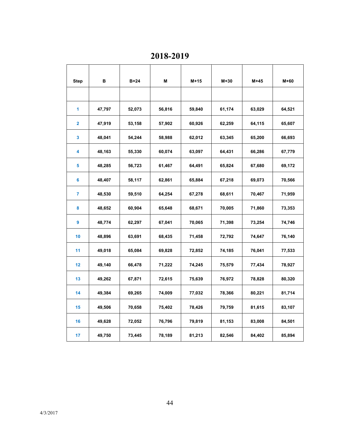**2018-2019**

| <b>Step</b>    | в      | $B+24$ | M      | $M+15$ | $M+30$ | $M+45$ | $M+60$ |
|----------------|--------|--------|--------|--------|--------|--------|--------|
|                |        |        |        |        |        |        |        |
| 1              | 47,797 | 52,073 | 56,816 | 59,840 | 61,174 | 63,029 | 64,521 |
| $\overline{2}$ | 47,919 | 53,158 | 57,902 | 60,926 | 62,259 | 64,115 | 65,607 |
| 3              | 48,041 | 54,244 | 58,988 | 62,012 | 63,345 | 65,200 | 66,693 |
| 4              | 48,163 | 55,330 | 60,074 | 63,097 | 64,431 | 66,286 | 67,779 |
| 5              | 48,285 | 56,723 | 61,467 | 64,491 | 65,824 | 67,680 | 69,172 |
| 6              | 48,407 | 58,117 | 62,861 | 65,884 | 67,218 | 69,073 | 70,566 |
| 7              | 48,530 | 59,510 | 64,254 | 67,278 | 68,611 | 70,467 | 71,959 |
| 8              | 48,652 | 60,904 | 65,648 | 68,671 | 70,005 | 71,860 | 73,353 |
| 9              | 48,774 | 62,297 | 67,041 | 70,065 | 71,398 | 73,254 | 74,746 |
| 10             | 48,896 | 63,691 | 68,435 | 71,458 | 72,792 | 74,647 | 76,140 |
| 11             | 49,018 | 65,084 | 69,828 | 72,852 | 74,185 | 76,041 | 77,533 |
| 12             | 49,140 | 66,478 | 71,222 | 74,245 | 75,579 | 77,434 | 78,927 |
| 13             | 49,262 | 67,871 | 72,615 | 75,639 | 76,972 | 78,828 | 80,320 |
| 14             | 49,384 | 69,265 | 74,009 | 77,032 | 78,366 | 80,221 | 81,714 |
| 15             | 49,506 | 70,658 | 75,402 | 78,426 | 79,759 | 81,615 | 83,107 |
| 16             | 49,628 | 72,052 | 76,796 | 79,819 | 81,153 | 83,008 | 84,501 |
| 17             | 49,750 | 73,445 | 78,189 | 81,213 | 82,546 | 84,402 | 85,894 |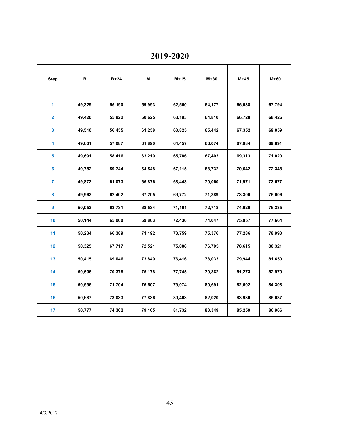**2019-2020**

| <b>Step</b>             | в      | $B+24$ | M      | $M+15$ | $M+30$ | $M+45$ | $M+60$ |
|-------------------------|--------|--------|--------|--------|--------|--------|--------|
|                         |        |        |        |        |        |        |        |
| 1                       | 49,329 | 55,190 | 59,993 | 62,560 | 64,177 | 66,088 | 67,794 |
| $\overline{\mathbf{2}}$ | 49,420 | 55,822 | 60,625 | 63,193 | 64,810 | 66,720 | 68,426 |
| $\mathbf{3}$            | 49,510 | 56,455 | 61,258 | 63,825 | 65,442 | 67,352 | 69,059 |
| 4                       | 49,601 | 57,087 | 61,890 | 64,457 | 66,074 | 67,984 | 69,691 |
| 5                       | 49,691 | 58,416 | 63,219 | 65,786 | 67,403 | 69,313 | 71,020 |
| 6                       | 49,782 | 59,744 | 64,548 | 67,115 | 68,732 | 70,642 | 72,348 |
| $\overline{7}$          | 49,872 | 61,073 | 65,876 | 68,443 | 70,060 | 71,971 | 73,677 |
| 8                       | 49,963 | 62,402 | 67,205 | 69,772 | 71,389 | 73,300 | 75,006 |
| 9                       | 50,053 | 63,731 | 68,534 | 71,101 | 72,718 | 74,629 | 76,335 |
| 10                      | 50,144 | 65,060 | 69,863 | 72,430 | 74,047 | 75,957 | 77,664 |
| 11                      | 50,234 | 66,389 | 71,192 | 73,759 | 75,376 | 77,286 | 78,993 |
| 12                      | 50,325 | 67,717 | 72,521 | 75,088 | 76,705 | 78,615 | 80,321 |
| 13                      | 50,415 | 69,046 | 73,849 | 76,416 | 78,033 | 79,944 | 81,650 |
| 14                      | 50,506 | 70,375 | 75,178 | 77,745 | 79,362 | 81,273 | 82,979 |
| 15                      | 50,596 | 71,704 | 76,507 | 79,074 | 80,691 | 82,602 | 84,308 |
| 16                      | 50,687 | 73,033 | 77,836 | 80,403 | 82,020 | 83,930 | 85,637 |
| 17                      | 50,777 | 74,362 | 79,165 | 81,732 | 83,349 | 85,259 | 86,966 |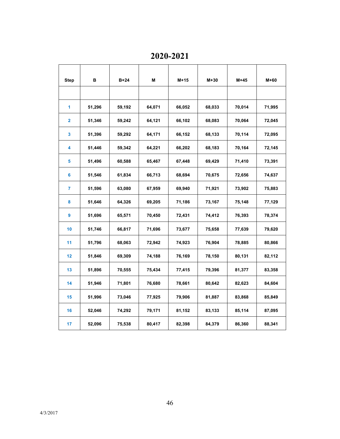**2020-2021**

| <b>Step</b>    | в      | $B+24$ | M      | $M+15$ | $M+30$ | $M+45$ | $M+60$ |
|----------------|--------|--------|--------|--------|--------|--------|--------|
|                |        |        |        |        |        |        |        |
| 1              | 51,296 | 59,192 | 64,071 | 66,052 | 68,033 | 70,014 | 71,995 |
| 2              | 51,346 | 59,242 | 64,121 | 66,102 | 68,083 | 70,064 | 72,045 |
| 3              | 51,396 | 59,292 | 64,171 | 66,152 | 68,133 | 70,114 | 72,095 |
| 4              | 51,446 | 59,342 | 64,221 | 66,202 | 68,183 | 70,164 | 72,145 |
| 5              | 51,496 | 60,588 | 65,467 | 67,448 | 69,429 | 71,410 | 73,391 |
| 6              | 51,546 | 61,834 | 66,713 | 68,694 | 70,675 | 72,656 | 74,637 |
| $\overline{7}$ | 51,596 | 63,080 | 67,959 | 69,940 | 71,921 | 73,902 | 75,883 |
| 8              | 51,646 | 64,326 | 69,205 | 71,186 | 73,167 | 75,148 | 77,129 |
| 9              | 51,696 | 65,571 | 70,450 | 72,431 | 74,412 | 76,393 | 78,374 |
| 10             | 51,746 | 66,817 | 71,696 | 73,677 | 75,658 | 77,639 | 79,620 |
| 11             | 51,796 | 68,063 | 72,942 | 74,923 | 76,904 | 78,885 | 80,866 |
| 12             | 51,846 | 69,309 | 74,188 | 76,169 | 78,150 | 80,131 | 82,112 |
| 13             | 51,896 | 70,555 | 75,434 | 77,415 | 79,396 | 81,377 | 83,358 |
| 14             | 51,946 | 71,801 | 76,680 | 78,661 | 80,642 | 82,623 | 84,604 |
| 15             | 51,996 | 73,046 | 77,925 | 79,906 | 81,887 | 83,868 | 85,849 |
| 16             | 52,046 | 74,292 | 79,171 | 81,152 | 83,133 | 85,114 | 87,095 |
| 17             | 52,096 | 75,538 | 80,417 | 82,398 | 84,379 | 86,360 | 88,341 |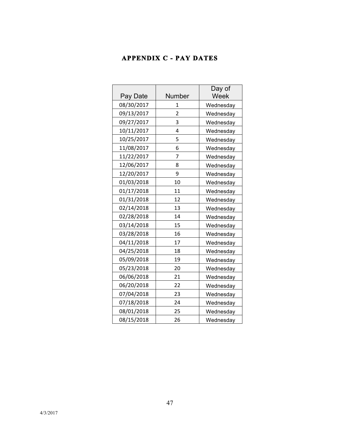### **APPENDIX C - PAY DATES**

| Pay Date   | Number | Day of<br>Week |
|------------|--------|----------------|
| 08/30/2017 | 1      | Wednesday      |
| 09/13/2017 | 2      | Wednesday      |
| 09/27/2017 | 3      | Wednesday      |
| 10/11/2017 | 4      | Wednesday      |
| 10/25/2017 | 5      | Wednesday      |
| 11/08/2017 | 6      | Wednesday      |
| 11/22/2017 | 7      | Wednesday      |
| 12/06/2017 | 8      | Wednesday      |
| 12/20/2017 | 9      | Wednesday      |
| 01/03/2018 | 10     | Wednesday      |
| 01/17/2018 | 11     | Wednesday      |
| 01/31/2018 | 12     | Wednesday      |
| 02/14/2018 | 13     | Wednesday      |
| 02/28/2018 | 14     | Wednesday      |
| 03/14/2018 | 15     | Wednesday      |
| 03/28/2018 | 16     | Wednesday      |
| 04/11/2018 | 17     | Wednesday      |
| 04/25/2018 | 18     | Wednesday      |
| 05/09/2018 | 19     | Wednesday      |
| 05/23/2018 | 20     | Wednesday      |
| 06/06/2018 | 21     | Wednesday      |
| 06/20/2018 | 22     | Wednesday      |
| 07/04/2018 | 23     | Wednesday      |
| 07/18/2018 | 24     | Wednesday      |
| 08/01/2018 | 25     | Wednesday      |
| 08/15/2018 | 26     | Wednesday      |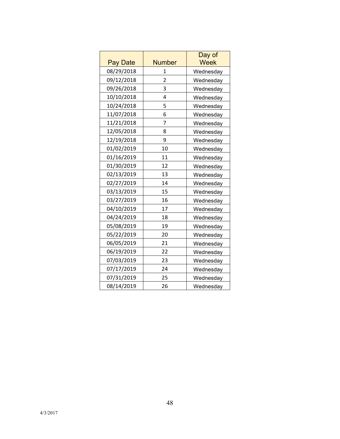| <b>Pay Date</b> | <b>Number</b>  | Day of<br><b>Week</b> |
|-----------------|----------------|-----------------------|
| 08/29/2018      | 1              | Wednesday             |
| 09/12/2018      | $\overline{2}$ | Wednesday             |
| 09/26/2018      | 3              | Wednesday             |
| 10/10/2018      | 4              | Wednesday             |
| 10/24/2018      | 5              | Wednesday             |
| 11/07/2018      | 6              | Wednesday             |
| 11/21/2018      | 7              | Wednesday             |
| 12/05/2018      | 8              | Wednesday             |
| 12/19/2018      | 9              | Wednesday             |
| 01/02/2019      | 10             | Wednesday             |
| 01/16/2019      | 11             | Wednesday             |
| 01/30/2019      | 12             | Wednesday             |
| 02/13/2019      | 13             | Wednesday             |
| 02/27/2019      | 14             | Wednesday             |
| 03/13/2019      | 15             | Wednesday             |
| 03/27/2019      | 16             | Wednesday             |
| 04/10/2019      | 17             | Wednesday             |
| 04/24/2019      | 18             | Wednesday             |
| 05/08/2019      | 19             | Wednesday             |
| 05/22/2019      | 20             | Wednesday             |
| 06/05/2019      | 21             | Wednesday             |
| 06/19/2019      | 22             | Wednesday             |
| 07/03/2019      | 23             | Wednesday             |
| 07/17/2019      | 24             | Wednesday             |
| 07/31/2019      | 25             | Wednesday             |
| 08/14/2019      | 26             | Wednesday             |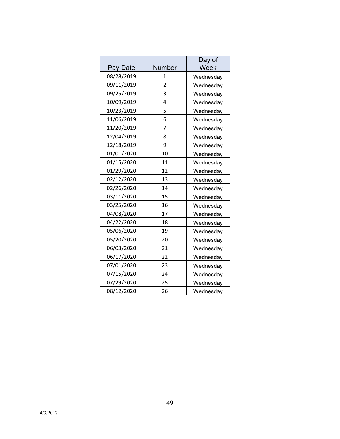| Pay Date   | <b>Number</b>  | Day of<br>Week |
|------------|----------------|----------------|
| 08/28/2019 | 1              | Wednesday      |
| 09/11/2019 | $\overline{2}$ | Wednesday      |
| 09/25/2019 | 3              | Wednesday      |
| 10/09/2019 | 4              | Wednesday      |
| 10/23/2019 | 5              | Wednesday      |
| 11/06/2019 | 6              | Wednesday      |
| 11/20/2019 | 7              | Wednesday      |
| 12/04/2019 | 8              | Wednesday      |
| 12/18/2019 | 9              | Wednesday      |
| 01/01/2020 | 10             | Wednesday      |
| 01/15/2020 | 11             | Wednesday      |
| 01/29/2020 | 12             | Wednesday      |
| 02/12/2020 | 13             | Wednesday      |
| 02/26/2020 | 14             | Wednesday      |
| 03/11/2020 | 15             | Wednesday      |
| 03/25/2020 | 16             | Wednesday      |
| 04/08/2020 | 17             | Wednesday      |
| 04/22/2020 | 18             | Wednesday      |
| 05/06/2020 | 19             | Wednesday      |
| 05/20/2020 | 20             | Wednesday      |
| 06/03/2020 | 21             | Wednesday      |
| 06/17/2020 | 22             | Wednesday      |
| 07/01/2020 | 23             | Wednesday      |
| 07/15/2020 | 24             | Wednesday      |
| 07/29/2020 | 25             | Wednesday      |
| 08/12/2020 | 26             | Wednesday      |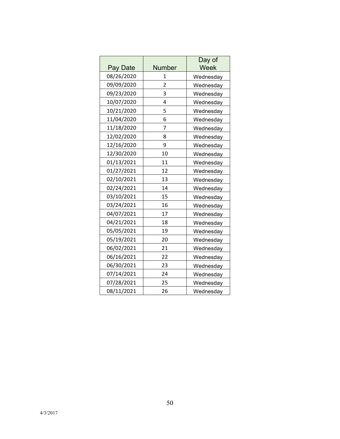| Pay Date   | <b>Number</b>  | Day of<br>Week |
|------------|----------------|----------------|
| 08/26/2020 | $\mathbf{1}$   | Wednesday      |
| 09/09/2020 | $\overline{2}$ | Wednesday      |
| 09/23/2020 | 3              | Wednesday      |
| 10/07/2020 | 4              | Wednesday      |
| 10/21/2020 | 5              | Wednesday      |
| 11/04/2020 | 6              | Wednesday      |
| 11/18/2020 | 7              | Wednesday      |
| 12/02/2020 | 8              | Wednesday      |
| 12/16/2020 | 9              | Wednesday      |
| 12/30/2020 | 10             | Wednesday      |
| 01/13/2021 | 11             | Wednesday      |
| 01/27/2021 | 12             | Wednesday      |
| 02/10/2021 | 13             | Wednesday      |
| 02/24/2021 | 14             | Wednesday      |
| 03/10/2021 | 15             | Wednesday      |
| 03/24/2021 | 16             | Wednesday      |
| 04/07/2021 | 17             | Wednesday      |
| 04/21/2021 | 18             | Wednesday      |
| 05/05/2021 | 19             | Wednesday      |
| 05/19/2021 | 20             | Wednesday      |
| 06/02/2021 | 21             | Wednesday      |
| 06/16/2021 | 22             | Wednesday      |
| 06/30/2021 | 23             | Wednesday      |
| 07/14/2021 | 24             | Wednesday      |
| 07/28/2021 | 25             | Wednesday      |
| 08/11/2021 | 26             | Wednesday      |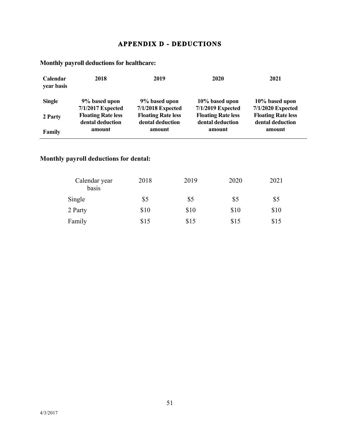### **APPENDIX D - DEDUCTIONS**

| <b>Calendar</b><br>year basis | 2018                      | 2019                      | 2020                      | 2021                      |
|-------------------------------|---------------------------|---------------------------|---------------------------|---------------------------|
| <b>Single</b>                 | 9% based upon             | 9% based upon             | 10% based upon            | 10% based upon            |
|                               | 7/1/2017 Expected         | 7/1/2018 Expected         | 7/1/2019 Expected         | 7/1/2020 Expected         |
| 2 Party                       | <b>Floating Rate less</b> | <b>Floating Rate less</b> | <b>Floating Rate less</b> | <b>Floating Rate less</b> |
|                               | dental deduction          | dental deduction          | dental deduction          | dental deduction          |
| Family                        | amount                    | amount                    | amount                    | amount                    |

**Monthly payroll deductions for healthcare:**

## **Monthly payroll deductions for dental:**

| Calendar year<br>basis | 2018 | 2019 | 2020 | 2021 |
|------------------------|------|------|------|------|
| Single                 | \$5  | \$5  | \$5  | \$5  |
| 2 Party                | \$10 | \$10 | \$10 | \$10 |
| Family                 | \$15 | \$15 | \$15 | \$15 |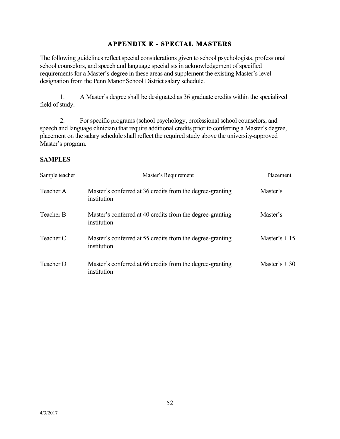### **APPENDIX E - SPECIAL MASTERS**

The following guidelines reflect special considerations given to school psychologists, professional school counselors, and speech and language specialists in acknowledgement of specified requirements for a Master's degree in these areas and supplement the existing Master's level designation from the Penn Manor School District salary schedule.

1. A Master's degree shall be designated as 36 graduate credits within the specialized field of study.

2. For specific programs (school psychology, professional school counselors, and speech and language clinician) that require additional credits prior to conferring a Master's degree, placement on the salary schedule shall reflect the required study above the university-approved Master's program.

#### **SAMPLES**

| Sample teacher | Master's Requirement                                                     | Placement      |
|----------------|--------------------------------------------------------------------------|----------------|
| Teacher A      | Master's conferred at 36 credits from the degree-granting<br>institution | Master's       |
| Teacher B      | Master's conferred at 40 credits from the degree-granting<br>institution | Master's       |
| Teacher C      | Master's conferred at 55 credits from the degree-granting<br>institution | Master's $+15$ |
| Teacher D      | Master's conferred at 66 credits from the degree-granting<br>institution | Master's $+30$ |